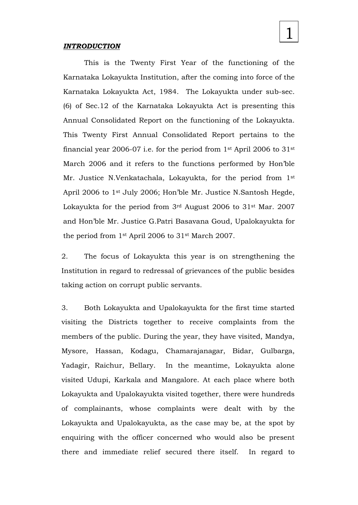#### *INTRODUCTION*

This is the Twenty First Year of the functioning of the Karnataka Lokayukta Institution, after the coming into force of the Karnataka Lokayukta Act, 1984. The Lokayukta under sub-sec. (6) of Sec.12 of the Karnataka Lokayukta Act is presenting this Annual Consolidated Report on the functioning of the Lokayukta. This Twenty First Annual Consolidated Report pertains to the financial year 2006-07 i.e. for the period from  $1<sup>st</sup>$  April 2006 to 31<sup>st</sup> March 2006 and it refers to the functions performed by Hon'ble Mr. Justice N.Venkatachala, Lokayukta, for the period from 1<sup>st</sup> April 2006 to 1st July 2006; Hon'ble Mr. Justice N.Santosh Hegde, Lokayukta for the period from 3rd August 2006 to 31st Mar. 2007 and Hon'ble Mr. Justice G.Patri Basavana Goud, Upalokayukta for the period from 1st April 2006 to 31st March 2007.

1

2. The focus of Lokayukta this year is on strengthening the Institution in regard to redressal of grievances of the public besides taking action on corrupt public servants.

3. Both Lokayukta and Upalokayukta for the first time started visiting the Districts together to receive complaints from the members of the public. During the year, they have visited, Mandya, Mysore, Hassan, Kodagu, Chamarajanagar, Bidar, Gulbarga, Yadagir, Raichur, Bellary. In the meantime, Lokayukta alone visited Udupi, Karkala and Mangalore. At each place where both Lokayukta and Upalokayukta visited together, there were hundreds of complainants, whose complaints were dealt with by the Lokayukta and Upalokayukta, as the case may be, at the spot by enquiring with the officer concerned who would also be present there and immediate relief secured there itself. In regard to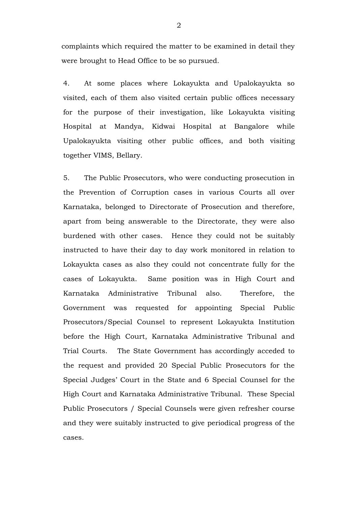complaints which required the matter to be examined in detail they were brought to Head Office to be so pursued.

4. At some places where Lokayukta and Upalokayukta so visited, each of them also visited certain public offices necessary for the purpose of their investigation, like Lokayukta visiting Hospital at Mandya, Kidwai Hospital at Bangalore while Upalokayukta visiting other public offices, and both visiting together VIMS, Bellary.

5. The Public Prosecutors, who were conducting prosecution in the Prevention of Corruption cases in various Courts all over Karnataka, belonged to Directorate of Prosecution and therefore, apart from being answerable to the Directorate, they were also burdened with other cases. Hence they could not be suitably instructed to have their day to day work monitored in relation to Lokayukta cases as also they could not concentrate fully for the cases of Lokayukta. Same position was in High Court and Karnataka Administrative Tribunal also. Therefore, the Government was requested for appointing Special Public Prosecutors/Special Counsel to represent Lokayukta Institution before the High Court, Karnataka Administrative Tribunal and Trial Courts. The State Government has accordingly acceded to the request and provided 20 Special Public Prosecutors for the Special Judges' Court in the State and 6 Special Counsel for the High Court and Karnataka Administrative Tribunal. These Special Public Prosecutors / Special Counsels were given refresher course and they were suitably instructed to give periodical progress of the cases.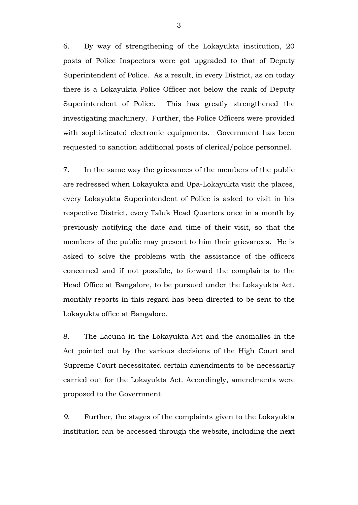6. By way of strengthening of the Lokayukta institution, 20 posts of Police Inspectors were got upgraded to that of Deputy Superintendent of Police. As a result, in every District, as on today there is a Lokayukta Police Officer not below the rank of Deputy Superintendent of Police. This has greatly strengthened the investigating machinery. Further, the Police Officers were provided with sophisticated electronic equipments. Government has been requested to sanction additional posts of clerical/police personnel.

7. In the same way the grievances of the members of the public are redressed when Lokayukta and Upa-Lokayukta visit the places, every Lokayukta Superintendent of Police is asked to visit in his respective District, every Taluk Head Quarters once in a month by previously notifying the date and time of their visit, so that the members of the public may present to him their grievances. He is asked to solve the problems with the assistance of the officers concerned and if not possible, to forward the complaints to the Head Office at Bangalore, to be pursued under the Lokayukta Act, monthly reports in this regard has been directed to be sent to the Lokayukta office at Bangalore.

8. The Lacuna in the Lokayukta Act and the anomalies in the Act pointed out by the various decisions of the High Court and Supreme Court necessitated certain amendments to be necessarily carried out for the Lokayukta Act. Accordingly, amendments were proposed to the Government.

*9.* Further, the stages of the complaints given to the Lokayukta institution can be accessed through the website, including the next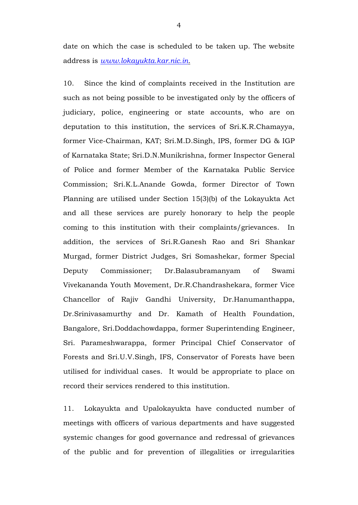date on which the case is scheduled to be taken up. The website address is *[www.lokayukta.kar.nic.in.](http://www.lokayukta.kar.nic.in/)* 

10. Since the kind of complaints received in the Institution are such as not being possible to be investigated only by the officers of judiciary, police, engineering or state accounts, who are on deputation to this institution, the services of Sri.K.R.Chamayya, former Vice-Chairman, KAT; Sri.M.D.Singh, IPS, former DG & IGP of Karnataka State; Sri.D.N.Munikrishna, former Inspector General of Police and former Member of the Karnataka Public Service Commission; Sri.K.L.Anande Gowda, former Director of Town Planning are utilised under Section 15(3)(b) of the Lokayukta Act and all these services are purely honorary to help the people coming to this institution with their complaints/grievances. In addition, the services of Sri.R.Ganesh Rao and Sri Shankar Murgad, former District Judges, Sri Somashekar, former Special Deputy Commissioner; Dr.Balasubramanyam of Swami Vivekananda Youth Movement, Dr.R.Chandrashekara, former Vice Chancellor of Rajiv Gandhi University, Dr.Hanumanthappa, Dr.Srinivasamurthy and Dr. Kamath of Health Foundation, Bangalore, Sri.Doddachowdappa, former Superintending Engineer, Sri. Parameshwarappa, former Principal Chief Conservator of Forests and Sri.U.V.Singh, IFS, Conservator of Forests have been utilised for individual cases. It would be appropriate to place on record their services rendered to this institution.

11. Lokayukta and Upalokayukta have conducted number of meetings with officers of various departments and have suggested systemic changes for good governance and redressal of grievances of the public and for prevention of illegalities or irregularities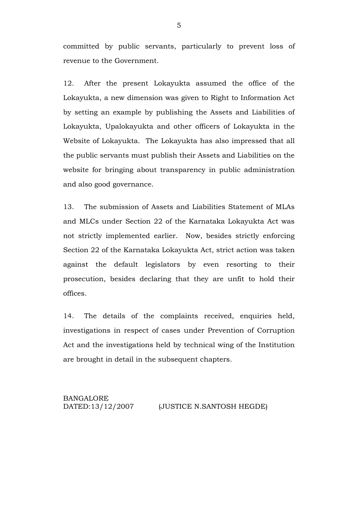committed by public servants, particularly to prevent loss of revenue to the Government.

12. After the present Lokayukta assumed the office of the Lokayukta, a new dimension was given to Right to Information Act by setting an example by publishing the Assets and Liabilities of Lokayukta, Upalokayukta and other officers of Lokayukta in the Website of Lokayukta. The Lokayukta has also impressed that all the public servants must publish their Assets and Liabilities on the website for bringing about transparency in public administration and also good governance.

13. The submission of Assets and Liabilities Statement of MLAs and MLCs under Section 22 of the Karnataka Lokayukta Act was not strictly implemented earlier. Now, besides strictly enforcing Section 22 of the Karnataka Lokayukta Act, strict action was taken against the default legislators by even resorting to their prosecution, besides declaring that they are unfit to hold their offices.

14. The details of the complaints received, enquiries held, investigations in respect of cases under Prevention of Corruption Act and the investigations held by technical wing of the Institution are brought in detail in the subsequent chapters.

#### BANGALORE DATED:13/12/2007 (JUSTICE N.SANTOSH HEGDE)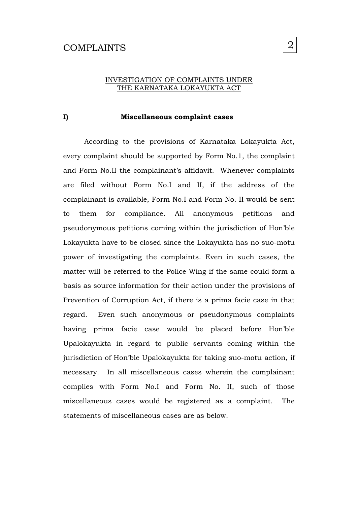### COMPLAINTS

# 2

#### INVESTIGATION OF COMPLAINTS UNDER THE KARNATAKA LOKAYUKTA ACT

#### **I) Miscellaneous complaint cases**

According to the provisions of Karnataka Lokayukta Act, every complaint should be supported by Form No.1, the complaint and Form No.II the complainant's affidavit. Whenever complaints are filed without Form No.I and II, if the address of the complainant is available, Form No.I and Form No. II would be sent to them for compliance. All anonymous petitions and pseudonymous petitions coming within the jurisdiction of Hon'ble Lokayukta have to be closed since the Lokayukta has no suo-motu power of investigating the complaints. Even in such cases, the matter will be referred to the Police Wing if the same could form a basis as source information for their action under the provisions of Prevention of Corruption Act, if there is a prima facie case in that regard. Even such anonymous or pseudonymous complaints having prima facie case would be placed before Hon'ble Upalokayukta in regard to public servants coming within the jurisdiction of Hon'ble Upalokayukta for taking suo-motu action, if necessary. In all miscellaneous cases wherein the complainant complies with Form No.I and Form No. II, such of those miscellaneous cases would be registered as a complaint. The statements of miscellaneous cases are as below.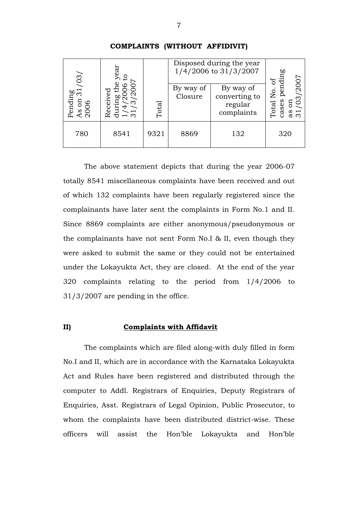| /03/                                        |                           |                |                      | Disposed during the year<br>1/4/2006 to 31/3/2007   | 60<br>÷<br>`ರ                                   |
|---------------------------------------------|---------------------------|----------------|----------------------|-----------------------------------------------------|-------------------------------------------------|
| Pending<br>$\infty$<br>Eo<br>$\circ$<br>v O | 60<br><b>teceive</b><br>ന | $\hbox{Total}$ | By way of<br>Closure | By way of<br>converting to<br>regular<br>complaints | 2007<br>.<br>Z<br>ო<br>ases<br>Eo<br>Total<br>ω |
| 780                                         | 8541                      | 9321           | 8869                 | 132                                                 | 320                                             |

#### **COMPLAINTS (WITHOUT AFFIDIVIT)**

The above statement depicts that during the year 2006-07 totally 8541 miscellaneous complaints have been received and out of which 132 complaints have been regularly registered since the complainants have later sent the complaints in Form No.1 and II. Since 8869 complaints are either anonymous/pseudonymous or the complainants have not sent Form No.I & II, even though they were asked to submit the same or they could not be entertained under the Lokayukta Act, they are closed. At the end of the year 320 complaints relating to the period from 1/4/2006 to 31/3/2007 are pending in the office.

#### **II) Complaints with Affidavit**

The complaints which are filed along-with duly filled in form No.I and II, which are in accordance with the Karnataka Lokayukta Act and Rules have been registered and distributed through the computer to Addl. Registrars of Enquiries, Deputy Registrars of Enquiries, Asst. Registrars of Legal Opinion, Public Prosecutor, to whom the complaints have been distributed district-wise. These officers will assist the Hon'ble Lokayukta and Hon'ble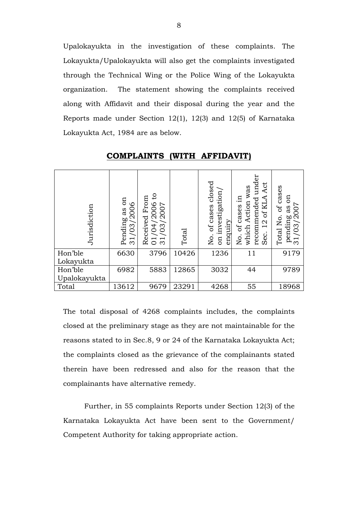Upalokayukta in the investigation of these complaints. The Lokayukta/Upalokayukta will also get the complaints investigated through the Technical Wing or the Police Wing of the Lokayukta organization. The statement showing the complaints received along with Affidavit and their disposal during the year and the Reports made under Section 12(1), 12(3) and 12(5) of Karnataka Lokayukta Act, 1984 are as below.

| Jurisdiction                                                                                                                                                                                                                                                                                                                                                                                | Pending as on<br>/03/2006<br>က | $\mathbf{c}$<br>Received From<br>/2006<br>$\frac{1}{100}$<br>$\frac{1}{2}$ | Total | No. of cases closed<br>on investigation<br>enquiry | recommended under<br>Act<br>which Action was<br>12 of KLA<br>No. of cases in<br>Sec. | Total No. of cases<br>pending as on<br>31/03/2007 |
|---------------------------------------------------------------------------------------------------------------------------------------------------------------------------------------------------------------------------------------------------------------------------------------------------------------------------------------------------------------------------------------------|--------------------------------|----------------------------------------------------------------------------|-------|----------------------------------------------------|--------------------------------------------------------------------------------------|---------------------------------------------------|
| Hon'ble<br>Lokayukta                                                                                                                                                                                                                                                                                                                                                                        | 6630                           | 3796                                                                       | 10426 | 1236                                               | 11                                                                                   | 9179                                              |
| Hon'ble<br>Upalokayukta                                                                                                                                                                                                                                                                                                                                                                     | 6982                           | 5883                                                                       | 12865 | 3032                                               | 44                                                                                   | 9789                                              |
| Total                                                                                                                                                                                                                                                                                                                                                                                       | 13612                          | 9679                                                                       | 23291 | 4268                                               | 55                                                                                   | 18968                                             |
| The total disposal of 4268 complaints includes, the complaints<br>closed at the preliminary stage as they are not maintainable for the<br>reasons stated to in Sec.8, 9 or 24 of the Karnataka Lokayukta Act;<br>the complaints closed as the grievance of the complainants stated<br>therein have been redressed and also for the reason that the<br>complainants have alternative remedy. |                                |                                                                            |       |                                                    |                                                                                      |                                                   |
| Further, in 55 complaints Reports under Section 12(3) of the                                                                                                                                                                                                                                                                                                                                |                                |                                                                            |       |                                                    |                                                                                      |                                                   |
| Karnataka Lokayukta Act have been sent to the Government/                                                                                                                                                                                                                                                                                                                                   |                                |                                                                            |       |                                                    |                                                                                      |                                                   |
| Competent Authority for taking appropriate action.                                                                                                                                                                                                                                                                                                                                          |                                |                                                                            |       |                                                    |                                                                                      |                                                   |

**COMPLAINTS (WITH AFFIDAVIT)**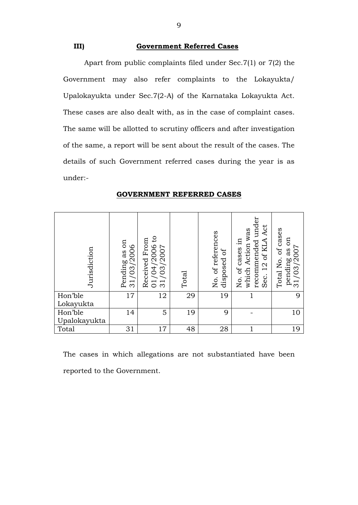**III) Government Referred Cases** 

Apart from public complaints filed under Sec.7(1) or 7(2) the Government may also refer complaints to the Lokayukta/ Upalokayukta under Sec.7(2-A) of the Karnataka Lokayukta Act. These cases are also dealt with, as in the case of complaint cases. The same will be allotted to scrutiny officers and after investigation of the same, a report will be sent about the result of the cases. The details of such Government referred cases during the year is as under:-

| Jurisdiction                                                                                  | Pending as on<br>$\circ$<br>/200<br>03<br>$\overline{\phantom{0}}$<br>$\infty$ | 01/04/2006 to<br>31/03/2007<br>Received From | Total | No. of references<br>ЪÇ<br>disposed | recommended under<br>Act<br>which Action was<br>of KLA<br>of cases in<br>$\frac{1}{2}$<br>Sec.<br>Йo. | of cases<br>EO<br>pending as $\frac{31}{03}/\frac{2007}{1}$<br>Total No. |
|-----------------------------------------------------------------------------------------------|--------------------------------------------------------------------------------|----------------------------------------------|-------|-------------------------------------|-------------------------------------------------------------------------------------------------------|--------------------------------------------------------------------------|
| Hon'ble<br>Lokayukta                                                                          | 17                                                                             | 12                                           | 29    | 19                                  |                                                                                                       | 9                                                                        |
| Hon'ble<br>Upalokayukta                                                                       | 14                                                                             | 5                                            | 19    | 9                                   |                                                                                                       | 10                                                                       |
| Total                                                                                         | 31                                                                             | 17                                           | 48    | 28                                  | 1                                                                                                     | 19                                                                       |
| The cases in which allegations are not substantiated have been<br>reported to the Government. |                                                                                |                                              |       |                                     |                                                                                                       |                                                                          |

#### **GOVERNMENT REFERRED CASES**

9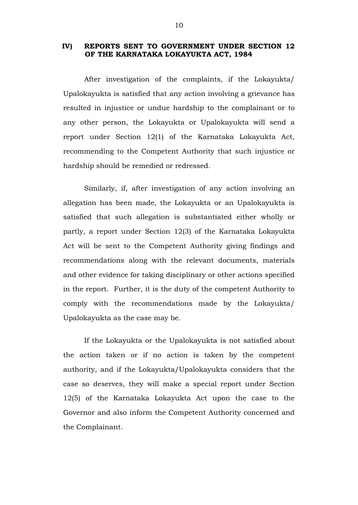#### **IV) REPORTS SENT TO GOVERNMENT UNDER SECTION 12 OF THE KARNATAKA LOKAYUKTA ACT, 1984**

After investigation of the complaints, if the Lokayukta/ Upalokayukta is satisfied that any action involving a grievance has resulted in injustice or undue hardship to the complainant or to any other person, the Lokayukta or Upalokayukta will send a report under Section 12(1) of the Karnataka Lokayukta Act, recommending to the Competent Authority that such injustice or hardship should be remedied or redressed.

Similarly, if, after investigation of any action involving an allegation has been made, the Lokayukta or an Upalokayukta is satisfied that such allegation is substantiated either wholly or partly, a report under Section 12(3) of the Karnataka Lokayukta Act will be sent to the Competent Authority giving findings and recommendations along with the relevant documents, materials and other evidence for taking disciplinary or other actions specified in the report. Further, it is the duty of the competent Authority to comply with the recommendations made by the Lokayukta/ Upalokayukta as the case may be.

If the Lokayukta or the Upalokayukta is not satisfied about the action taken or if no action is taken by the competent authority, and if the Lokayukta/Upalokayukta considers that the case so deserves, they will make a special report under Section 12(5) of the Karnataka Lokayukta Act upon the case to the Governor and also inform the Competent Authority concerned and the Complainant.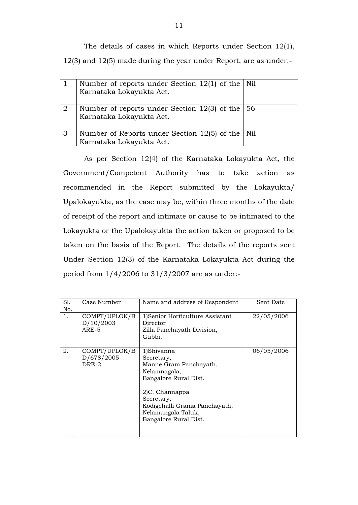The details of cases in which Reports under Section 12(1), 12(3) and 12(5) made during the year under Report, are as under:-

|                | Number of reports under Section $12(1)$ of the Nil<br>Karnataka Lokayukta Act.              |  |
|----------------|---------------------------------------------------------------------------------------------|--|
| $\overline{2}$ | Number of reports under Section 12(3) of the $\vert 56 \rangle$<br>Karnataka Lokayukta Act. |  |
| 3              | Number of Reports under Section $12(5)$ of the Nil<br>Karnataka Lokayukta Act.              |  |

As per Section 12(4) of the Karnataka Lokayukta Act, the Government/Competent Authority has to take action as recommended in the Report submitted by the Lokayukta/ Upalokayukta, as the case may be, within three months of the date of receipt of the report and intimate or cause to be intimated to the Lokayukta or the Upalokayukta the action taken or proposed to be taken on the basis of the Report. The details of the reports sent Under Section 12(3) of the Karnataka Lokayukta Act during the period from 1/4/2006 to 31/3/2007 are as under:-

| Sl.<br>No. | Case Number                          | Name and address of Respondent                                                                                                                                                                              | Sent Date  |
|------------|--------------------------------------|-------------------------------------------------------------------------------------------------------------------------------------------------------------------------------------------------------------|------------|
| 1.         | COMPT/UPLOK/B<br>D/10/2003<br>ARE-5  | 1) Senior Horticulture Assistant<br>Director<br>Zilla Panchayath Division,<br>Gubbi,                                                                                                                        | 22/05/2006 |
| 2.         | COMPT/UPLOK/B<br>D/678/2005<br>DRE-2 | 1)Shivanna<br>Secretary,<br>Manne Gram Panchayath,<br>Nelamnagala,<br>Bangalore Rural Dist.<br>2)C. Channappa<br>Secretary,<br>Kodigehalli Grama Panchayath,<br>Nelamangala Taluk,<br>Bangalore Rural Dist. | 06/05/2006 |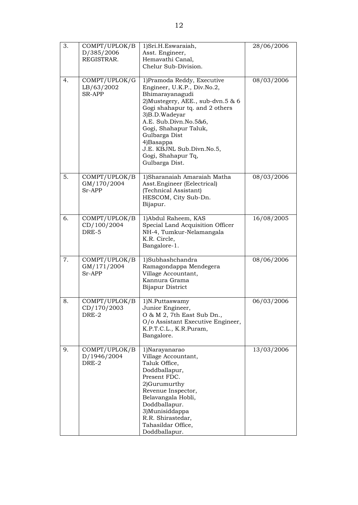| 3. | COMPT/UPLOK/B<br>D/385/2006<br>REGISTRAR.    | 1)Sri.H.Eswaraiah,<br>Asst. Engineer,<br>Hemavathi Canal,<br>Chelur Sub-Division.                                                                                                                                                                                                                                           | 28/06/2006 |
|----|----------------------------------------------|-----------------------------------------------------------------------------------------------------------------------------------------------------------------------------------------------------------------------------------------------------------------------------------------------------------------------------|------------|
| 4. | COMPT/UPLOK/G<br>LB/63/2002<br><b>SR-APP</b> | 1) Pramoda Reddy, Executive<br>Engineer, U.K.P., Div.No.2,<br>Bhimarayanagudi<br>2) Mustegery, AEE., sub-dvn.5 & 6<br>Gogi shahapur tq. and 2 others<br>3)B.D.Wadeyar<br>A.E. Sub.Divn.No.5&6,<br>Gogi, Shahapur Taluk,<br>Gulbarga Dist<br>4) Basappa<br>J.E. KBJNL Sub.Divn.No.5,<br>Gogi, Shahapur Tq,<br>Gulbarga Dist. | 08/03/2006 |
| 5. | COMPT/UPLOK/B<br>GM/170/2004<br>Sr-APP       | 1)Sharanaiah Amaraiah Matha<br>Asst. Engineer (Eelectrical)<br>(Technical Assistant)<br>HESCOM, City Sub-Dn.<br>Bijapur.                                                                                                                                                                                                    | 08/03/2006 |
| 6. | COMPT/UPLOK/B<br>CD/100/2004<br>DRE-5        | 1) Abdul Raheem, KAS<br>Special Land Acquisition Officer<br>NH-4, Tumkur-Nelamangala<br>K.R. Circle,<br>Bangalore-1.                                                                                                                                                                                                        | 16/08/2005 |
| 7. | COMPT/UPLOK/B<br>GM/171/2004<br>Sr-APP       | 1)Subhashchandra<br>Ramagondappa Mendegera<br>Village Accountant,<br>Kannura Grama<br>Bijapur District                                                                                                                                                                                                                      | 08/06/2006 |
| 8. | COMPT/UPLOK/B<br>CD/170/2003<br>DRE-2        | 1)N.Puttaswamy<br>Junior Engineer,<br>O & M 2, 7th East Sub Dn.,<br>O/o Assistant Executive Engineer,<br>K.P.T.C.L., K.R.Puram,<br>Bangalore.                                                                                                                                                                               | 06/03/2006 |
| 9. | COMPT/UPLOK/B<br>D/1946/2004<br>DRE-2        | 1)Narayanarao<br>Village Accountant,<br>Taluk Office,<br>Doddballapur,<br>Present FDC.<br>2)Gurumurthy<br>Revenue Inspector,<br>Belavangala Hobli,<br>Doddballapur.<br>3) Munisiddappa<br>R.R. Shirastedar,<br>Tahasildar Office,<br>Doddballapur.                                                                          | 13/03/2006 |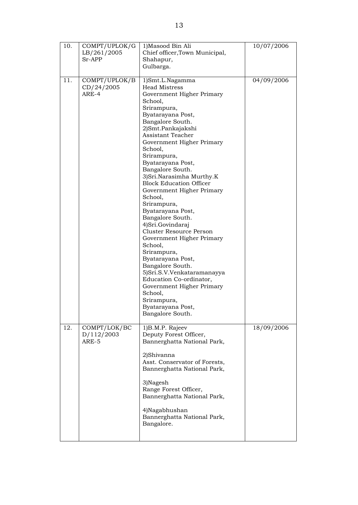| 10. | COMPT/UPLOK/G<br>LB/261/2005<br>Sr-APP | 1) Masood Bin Ali<br>Chief officer, Town Municipal,<br>Shahapur,<br>Gulbarga.                                                                                                                                                                                                                                                                                                                                                                                                                                                                                                                                                                                                                                                                                  | 10/07/2006 |
|-----|----------------------------------------|----------------------------------------------------------------------------------------------------------------------------------------------------------------------------------------------------------------------------------------------------------------------------------------------------------------------------------------------------------------------------------------------------------------------------------------------------------------------------------------------------------------------------------------------------------------------------------------------------------------------------------------------------------------------------------------------------------------------------------------------------------------|------------|
| 11. | COMPT/UPLOK/B<br>CD/24/2005<br>ARE-4   | 1)Smt.L.Nagamma<br><b>Head Mistress</b><br>Government Higher Primary<br>School,<br>Srirampura,<br>Byatarayana Post,<br>Bangalore South.<br>2)Smt.Pankajakshi<br>Assistant Teacher<br>Government Higher Primary<br>School,<br>Srirampura,<br>Byatarayana Post,<br>Bangalore South.<br>3) Sri. Narasimha Murthy. K<br><b>Block Education Officer</b><br>Government Higher Primary<br>School,<br>Srirampura,<br>Byatarayana Post,<br>Bangalore South.<br>4) Sri. Govindaraj<br>Cluster Resource Person<br>Government Higher Primary<br>School,<br>Srirampura,<br>Byatarayana Post,<br>Bangalore South.<br>5) Sri.S.V. Venkataramanayya<br>Education Co-ordinator,<br>Government Higher Primary<br>School,<br>Srirampura,<br>Byatarayana Post,<br>Bangalore South. | 04/09/2006 |
| 12. | COMPT/LOK/BC<br>D/112/2003<br>ARE-5    | 1)B.M.P. Rajeev<br>Deputy Forest Officer,<br>Bannerghatta National Park,<br>2)Shivanna<br>Asst. Conservator of Forests,<br>Bannerghatta National Park,<br>3)Nagesh<br>Range Forest Officer,<br>Bannerghatta National Park,<br>4)Nagabhushan<br>Bannerghatta National Park,<br>Bangalore.                                                                                                                                                                                                                                                                                                                                                                                                                                                                       | 18/09/2006 |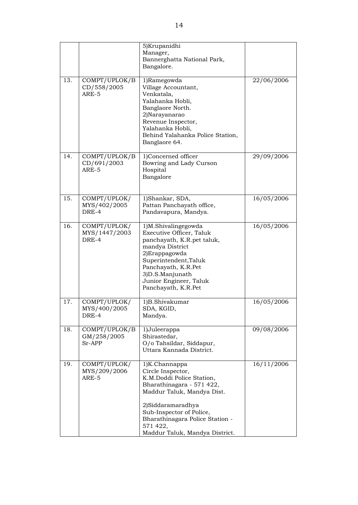|     |                                        | 5) Krupanidhi<br>Manager,<br>Bannerghatta National Park,<br>Bangalore.                                                                                                                                                                                       |            |
|-----|----------------------------------------|--------------------------------------------------------------------------------------------------------------------------------------------------------------------------------------------------------------------------------------------------------------|------------|
| 13. | COMPT/UPLOK/B<br>CD/558/2005<br>ARE-5  | 1)Ramegowda<br>Village Accountant,<br>Venkatala,<br>Yalahanka Hobli,<br>Banglaore North.<br>2)Narayanarao<br>Revenue Inspector,<br>Yalahanka Hobli,<br>Behind Yalahanka Police Station,<br>Banglaore 64.                                                     | 22/06/2006 |
| 14. | COMPT/UPLOK/B<br>CD/691/2003<br>ARE-5  | 1)Concerned officer<br>Bowring and Lady Curson<br>Hospital<br>Bangalore                                                                                                                                                                                      | 29/09/2006 |
| 15. | COMPT/UPLOK/<br>MYS/402/2005<br>DRE-4  | 1)Shankar, SDA,<br>Pattan Panchayath office,<br>Pandavapura, Mandya.                                                                                                                                                                                         | 16/05/2006 |
| 16. | COMPT/UPLOK/<br>MYS/1447/2003<br>DRE-4 | 1)M.Shivalingegowda<br>Executive Officer, Taluk<br>panchayath, K.R.pet taluk,<br>mandya District<br>2) Erappagowda<br>Superintendent, Taluk<br>Panchayath, K.R.Pet<br>3)D.S.Manjunath<br>Junior Engineer, Taluk<br>Panchayath, K.R.Pet                       | 16/05/2006 |
| 17  | COMPT/UPLOK/<br>MYS/400/2005<br>DRE-4  | 1)B.Shivakumar<br>SDA, KGID,<br>Mandya.                                                                                                                                                                                                                      | 16/05/2006 |
| 18. | COMPT/UPLOK/B<br>GM/258/2005<br>Sr-APP | 1)Juleerappa<br>Shirastedar,<br>O/o Tahsildar, Siddapur,<br>Uttara Kannada District.                                                                                                                                                                         | 09/08/2006 |
| 19. | COMPT/UPLOK/<br>MYS/209/2006<br>ARE-5  | 1)K.Channappa<br>Circle Inspector,<br>K.M.Doddi Police Station,<br>Bharathinagara - 571 422,<br>Maddur Taluk, Mandya Dist.<br>2)Siddaramaradhya<br>Sub-Inspector of Police,<br>Bharathinagara Police Station -<br>571 422,<br>Maddur Taluk, Mandya District. | 16/11/2006 |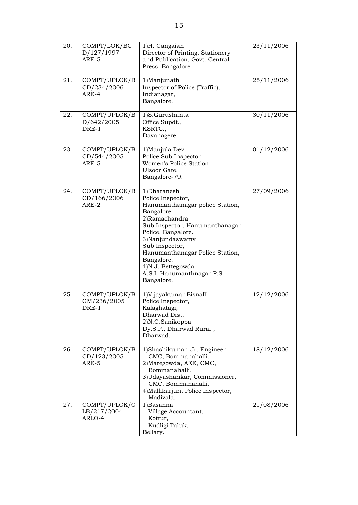| 20. | COMPT/LOK/BC<br>D/127/1997<br>ARE-5    | 1)H. Gangaiah<br>Director of Printing, Stationery<br>and Publication, Govt. Central<br>Press, Bangalore                                                                                                                                                                                                           | 23/11/2006 |
|-----|----------------------------------------|-------------------------------------------------------------------------------------------------------------------------------------------------------------------------------------------------------------------------------------------------------------------------------------------------------------------|------------|
| 21. | COMPT/UPLOK/B<br>CD/234/2006<br>ARE-4  | 1)Manjunath<br>Inspector of Police (Traffic),<br>Indianagar,<br>Bangalore.                                                                                                                                                                                                                                        | 25/11/2006 |
| 22. | COMPT/UPLOK/B<br>D/642/2005<br>DRE-1   | 1)S.Gurushanta<br>Office Supdt.,<br>KSRTC.,<br>Davanagere.                                                                                                                                                                                                                                                        | 30/11/2006 |
| 23. | COMPT/UPLOK/B<br>CD/544/2005<br>ARE-5  | 1) Manjula Devi<br>Police Sub Inspector,<br>Women's Police Station,<br>Ulsoor Gate,<br>Bangalore-79.                                                                                                                                                                                                              | 01/12/2006 |
| 24. | COMPT/UPLOK/B<br>CD/166/2006<br>ARE-2  | 1)Dharanesh<br>Police Inspector,<br>Hanumanthanagar police Station,<br>Bangalore.<br>2)Ramachandra<br>Sub Inspector, Hanumanthanagar<br>Police, Bangalore.<br>3)Nanjundaswamy<br>Sub Inspector,<br>Hanumanthanagar Police Station,<br>Bangalore.<br>4)N.J. Bettegowda<br>A.S.I. Hanumanthnagar P.S.<br>Bangalore. | 27/09/2006 |
| 25. | COMPT/UPLOK/B<br>GM/236/2005<br>DRE-1  | 1) Vijayakumar Bisnalli,<br>Police Inspector,<br>Kalaghatagi,<br>Dharwad Dist.<br>2)N.G.Sanikoppa<br>Dy.S.P., Dharwad Rural,<br>Dharwad.                                                                                                                                                                          | 12/12/2006 |
| 26. | COMPT/UPLOK/B<br>CD/123/2005<br>ARE-5  | 1)Shashikumar, Jr. Engineer<br>CMC, Bommanahalli.<br>2) Maregowda, AEE, CMC,<br>Bommanahalli.<br>3) Udayashankar, Commissioner,<br>CMC, Bommanahalli.<br>4) Mallikarjun, Police Inspector,<br>Madivala.                                                                                                           | 18/12/2006 |
| 27. | COMPT/UPLOK/G<br>LB/217/2004<br>ARLO-4 | 1)Basanna<br>Village Accountant,<br>Kottur,<br>Kudligi Taluk,<br>Bellary.                                                                                                                                                                                                                                         | 21/08/2006 |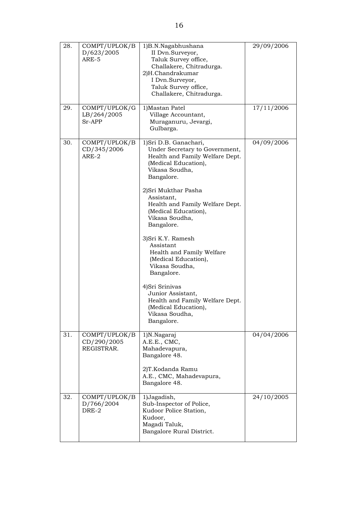| 28. | COMPT/UPLOK/B<br>D/623/2005<br>ARE-5       | 1)B.N.Nagabhushana<br>II Dvn.Surveyor,<br>Taluk Survey office,<br>Challakere, Chitradurga.<br>2)H.Chandrakumar<br>I Dvn.Surveyor,<br>Taluk Survey office,<br>Challakere, Chitradurga.                                                                                                                                                                                                                                                                                                                                             | 29/09/2006 |
|-----|--------------------------------------------|-----------------------------------------------------------------------------------------------------------------------------------------------------------------------------------------------------------------------------------------------------------------------------------------------------------------------------------------------------------------------------------------------------------------------------------------------------------------------------------------------------------------------------------|------------|
| 29. | COMPT/UPLOK/G<br>LB/264/2005<br>$Sr-APP$   | 1) Mastan Patel<br>Village Accountant,<br>Muraganuru, Jevargi,<br>Gulbarga.                                                                                                                                                                                                                                                                                                                                                                                                                                                       | 17/11/2006 |
| 30. | COMPT/UPLOK/B<br>CD/345/2006<br>ARE-2      | 1) Sri D.B. Ganachari,<br>Under Secretary to Government,<br>Health and Family Welfare Dept.<br>(Medical Education),<br>Vikasa Soudha,<br>Bangalore.<br>2) Sri Mukthar Pasha<br>Assistant,<br>Health and Family Welfare Dept.<br>(Medical Education),<br>Vikasa Soudha,<br>Bangalore.<br>3) Sri K.Y. Ramesh<br>Assistant<br>Health and Family Welfare<br>(Medical Education),<br>Vikasa Soudha,<br>Bangalore.<br>4) Sri Srinivas<br>Junior Assistant,<br>Health and Family Welfare Dept.<br>(Medical Education),<br>Vikasa Soudha, | 04/09/2006 |
|     |                                            | Bangalore.                                                                                                                                                                                                                                                                                                                                                                                                                                                                                                                        |            |
| 31. | COMPT/UPLOK/B<br>CD/290/2005<br>REGISTRAR. | 1)N.Nagaraj<br>A.E.E., CMC,<br>Mahadevapura,<br>Bangalore 48.<br>2)T.Kodanda Ramu<br>A.E., CMC, Mahadevapura,<br>Bangalore 48.                                                                                                                                                                                                                                                                                                                                                                                                    | 04/04/2006 |
| 32. | COMPT/UPLOK/B<br>D/766/2004<br>DRE-2       | 1) Jagadish,<br>Sub-Inspector of Police,<br>Kudoor Police Station,<br>Kudoor,<br>Magadi Taluk,<br>Bangalore Rural District.                                                                                                                                                                                                                                                                                                                                                                                                       | 24/10/2005 |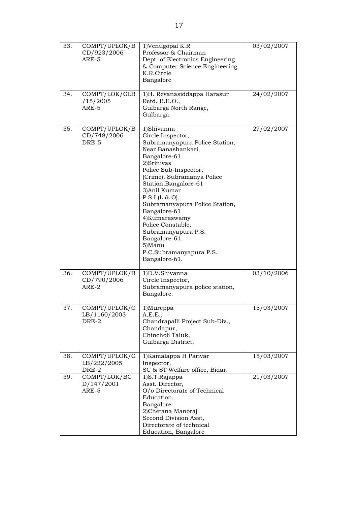| 33. | COMPT/UPLOK/B<br>CD/923/2006<br>ARE-5  | 1)Venugopal K.R<br>Professor & Chairman<br>Dept. of Electronics Engineering<br>& Computer Science Engineering<br>K.R.Circle<br>Bangalore                                                                                                                                                                                                                                                                                       | 03/02/2007 |
|-----|----------------------------------------|--------------------------------------------------------------------------------------------------------------------------------------------------------------------------------------------------------------------------------------------------------------------------------------------------------------------------------------------------------------------------------------------------------------------------------|------------|
| 34. | COMPT/LOK/GLB<br>/15/2005<br>ARE-5     | 1)H. Revanasiddappa Harasur<br>Retd. B.E.O.,<br>Gulbarga North Range,<br>Gulbarga.                                                                                                                                                                                                                                                                                                                                             | 24/02/2007 |
| 35. | COMPT/UPLOK/B<br>CD/748/2006<br>DRE-5  | 1)Shivanna<br>Circle Inspector,<br>Subramanyapura Police Station,<br>Near Banashankari,<br>Bangalore-61<br>2)Srinivas<br>Police Sub-Inspector,<br>(Crime), Subramanya Police<br>Station, Bangalore-61<br>3)Anil Kumar<br>P.S.I.(L & O),<br>Subramanyapura Police Station,<br>Bangalore-61<br>4) Kumaraswamy<br>Police Constable,<br>Subramanyapura P.S.<br>Bangalore-61.<br>5)Manu<br>P.C.Subramanyapura P.S.<br>Bangalore-61. | 27/02/2007 |
| 36. | COMPT/UPLOK/B<br>CD/790/2006<br>ARE-2  | 1)D.V.Shivanna<br>Circle Inspector,<br>Subramanyapura police station,<br>Bangalore.                                                                                                                                                                                                                                                                                                                                            | 03/10/2006 |
| 37. | COMPT/UPLOK/G<br>LB/1160/2003<br>DRE-2 | 1)Mureppa<br>A.E.E.,<br>Chandrapalli Project Sub-Div.,<br>Chandapur,<br>Chincholi Taluk,<br>Gulbarga District.                                                                                                                                                                                                                                                                                                                 | 15/03/2007 |
| 38. | COMPT/UPLOK/G<br>LB/222/2005<br>DRE-2  | 1) Kamalappa H Parivar<br>Inspector,<br>SC & ST Welfare office, Bidar.                                                                                                                                                                                                                                                                                                                                                         | 15/03/2007 |
| 39. | COMPT/LOK/BC<br>D/147/2001<br>ARE-5    | 1)S.T.Rajappa<br>Asst. Director,<br>O/o Directorate of Technical<br>Education,<br>Bangalore<br>2)Chetana Manoraj<br>Second Division Asst,<br>Directorate of technical<br>Education, Bangalore                                                                                                                                                                                                                                  | 21/03/2007 |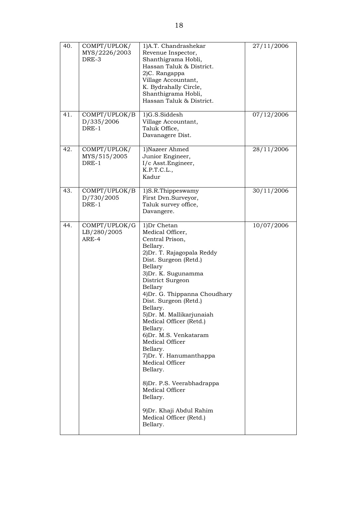| 40. | COMPT/UPLOK/<br>MYS/2226/2003<br>DRE-3 | 1)A.T. Chandrashekar<br>Revenue Inspector,<br>Shanthigrama Hobli,<br>Hassan Taluk & District.<br>2)C. Rangappa<br>Village Accountant,<br>K. Bydrahally Circle,<br>Shanthigrama Hobli,<br>Hassan Taluk & District.                                                                                                                                                                                                                                                                                                                                                                   | 27/11/2006 |
|-----|----------------------------------------|-------------------------------------------------------------------------------------------------------------------------------------------------------------------------------------------------------------------------------------------------------------------------------------------------------------------------------------------------------------------------------------------------------------------------------------------------------------------------------------------------------------------------------------------------------------------------------------|------------|
| 41. | COMPT/UPLOK/B<br>D/335/2006<br>DRE-1   | 1)G.S.Siddesh<br>Village Accountant,<br>Taluk Office,<br>Davanagere Dist.                                                                                                                                                                                                                                                                                                                                                                                                                                                                                                           | 07/12/2006 |
| 42. | COMPT/UPLOK/<br>MYS/515/2005<br>DRE-1  | 1)Nazeer Ahmed<br>Junior Engineer,<br>I/c Asst.Engineer,<br>K.P.T.C.L.,<br>Kadur                                                                                                                                                                                                                                                                                                                                                                                                                                                                                                    | 28/11/2006 |
| 43. | COMPT/UPLOK/B<br>D/730/2005<br>DRE-1   | 1)S.R.Thippeswamy<br>First Dvn.Surveyor,<br>Taluk survey office,<br>Davangere.                                                                                                                                                                                                                                                                                                                                                                                                                                                                                                      | 30/11/2006 |
| 44. | COMPT/UPLOK/G<br>LB/280/2005<br>ARE-4  | 1)Dr Chetan<br>Medical Officer,<br>Central Prison,<br>Bellary.<br>2) Dr. T. Rajagopala Reddy<br>Dist. Surgeon (Retd.)<br>Bellary<br>3) Dr. K. Sugunamma<br>District Surgeon<br>Bellary<br>4) Dr. G. Thippanna Choudhary<br>Dist. Surgeon (Retd.)<br>Bellary.<br>5) Dr. M. Mallikarjunaiah<br>Medical Officer (Retd.)<br>Bellary.<br>6) Dr. M.S. Venkataram<br>Medical Officer<br>Bellary.<br>7) Dr. Y. Hanumanthappa<br>Medical Officer<br>Bellary.<br>8) Dr. P.S. Veerabhadrappa<br>Medical Officer<br>Bellary.<br>9) Dr. Khaji Abdul Rahim<br>Medical Officer (Retd.)<br>Bellary. | 10/07/2006 |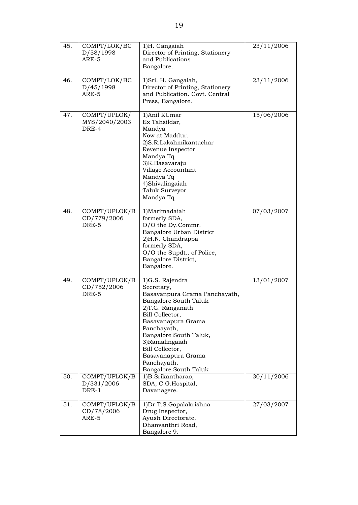| 45. | COMPT/LOK/BC<br>D/58/1998<br>ARE-5     | 1)H. Gangaiah<br>Director of Printing, Stationery<br>and Publications<br>Bangalore.                                                                                                                                                                                                              | 23/11/2006 |
|-----|----------------------------------------|--------------------------------------------------------------------------------------------------------------------------------------------------------------------------------------------------------------------------------------------------------------------------------------------------|------------|
| 46. | COMPT/LOK/BC<br>D/45/1998<br>ARE-5     | 1) Sri. H. Gangaiah,<br>Director of Printing, Stationery<br>and Publication. Govt. Central<br>Press, Bangalore.                                                                                                                                                                                  | 23/11/2006 |
| 47. | COMPT/UPLOK/<br>MYS/2040/2003<br>DRE-4 | 1)Anil KUmar<br>Ex Tahsildar,<br>Mandya<br>Now at Maddur.<br>2)S.R.Lakshmikantachar<br>Revenue Inspector<br>Mandya Tq<br>3)K.Basavaraju<br>Village Accountant<br>Mandya Tq<br>4)Shivalingaiah<br>Taluk Surveyor<br>Mandya Tq                                                                     | 15/06/2006 |
| 48. | COMPT/UPLOK/B<br>CD/779/2006<br>DRE-5  | 1)Marimadaiah<br>formerly SDA,<br>O/O the Dy.Commr.<br>Bangalore Urban District<br>2)H.N. Chandrappa<br>formerly SDA,<br>O/O the Supdt., of Police,<br>Bangalore District,<br>Bangalore.                                                                                                         | 07/03/2007 |
| 49. | COMPT/UPLOK/B<br>CD/752/2006<br>DRE-5  | 1)G.S. Rajendra<br>Secretary,<br>Basavanpura Grama Panchayath,<br>Bangalore South Taluk<br>2)T.G. Ranganath<br>Bill Collector,<br>Basavanapura Grama<br>Panchayath,<br>Bangalore South Taluk,<br>3)Ramalingaiah<br>Bill Collector,<br>Basavanapura Grama<br>Panchayath,<br>Bangalore South Taluk | 13/01/2007 |
| 50. | COMPT/UPLOK/B<br>D/331/2006<br>DRE-1   | 1)B.Srikantharao,<br>SDA, C.G.Hospital,<br>Davanagere.                                                                                                                                                                                                                                           | 30/11/2006 |
| 51. | COMPT/UPLOK/B<br>CD/78/2006<br>ARE-5   | 1) Dr.T.S. Gopalakrishna<br>Drug Inspector,<br>Ayush Directorate,<br>Dhanvanthri Road,<br>Bangalore 9.                                                                                                                                                                                           | 27/03/2007 |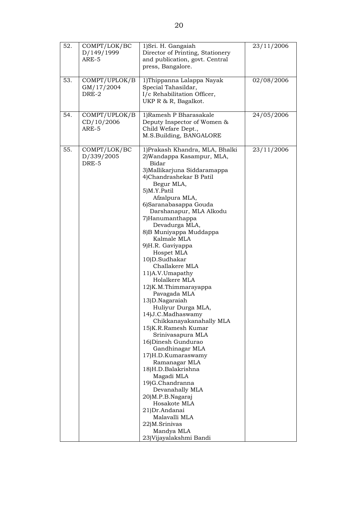| 52. | COMPT/LOK/BC<br>D/149/1999<br>ARE-5  | 1) Sri. H. Gangaiah<br>Director of Printing, Stationery<br>and publication, govt. Central<br>press, Bangalore.                                                                                                                                                                                                                                                                                                                                                                                                                                                                                                                                                                                                                                                                                                                                                                                           | 23/11/2006 |
|-----|--------------------------------------|----------------------------------------------------------------------------------------------------------------------------------------------------------------------------------------------------------------------------------------------------------------------------------------------------------------------------------------------------------------------------------------------------------------------------------------------------------------------------------------------------------------------------------------------------------------------------------------------------------------------------------------------------------------------------------------------------------------------------------------------------------------------------------------------------------------------------------------------------------------------------------------------------------|------------|
| 53. | COMPT/UPLOK/B<br>GM/17/2004<br>DRE-2 | 1)Thippanna Lalappa Nayak<br>Special Tahasildar,<br>I/c Rehabilitation Officer,<br>UKP R & R, Bagalkot.                                                                                                                                                                                                                                                                                                                                                                                                                                                                                                                                                                                                                                                                                                                                                                                                  | 02/08/2006 |
| 54. | COMPT/UPLOK/B<br>CD/10/2006<br>ARE-5 | 1) Ramesh P Bharasakale<br>Deputy Inspector of Women &<br>Child Wefare Dept.,<br>M.S.Building, BANGALORE                                                                                                                                                                                                                                                                                                                                                                                                                                                                                                                                                                                                                                                                                                                                                                                                 | 24/05/2006 |
| 55. | COMPT/LOK/BC<br>D/339/2005<br>DRE-5  | 1) Prakash Khandra, MLA, Bhalki<br>2) Wandappa Kasampur, MLA,<br>Bidar<br>3) Mallikarjuna Siddaramappa<br>4)Chandrashekar B Patil<br>Begur MLA,<br>5)M.Y.Patil<br>Afzalpura MLA,<br>6) Saranabasappa Gouda<br>Darshanapur, MLA Alkodu<br>7)Hanumanthappa<br>Devadurga MLA,<br>8) B Muniyappa Muddappa<br>Kalmale MLA<br>9)H.R. Gaviyappa<br>Hospet MLA<br>10)D.Sudhakar<br>Challakere MLA<br>11)A.V.Umapathy<br>Holalkere MLA<br>12)K.M.Thimmarayappa<br>Pavagada MLA<br>13)D.Nagaraiah<br>Huliyur Durga MLA,<br>14) J.C. Madhaswamy<br>Chikkanayakanahally MLA<br>15)K.R.Ramesh Kumar<br>Srinivasapura MLA<br>16) Dinesh Gundurao<br>Gandhinagar MLA<br>17)H.D.Kumaraswamy<br>Ramanagar MLA<br>18)H.D.Balakrishna<br>Magadi MLA<br>19)G.Chandranna<br>Devanahally MLA<br>20)M.P.B.Nagaraj<br>Hosakote MLA<br>21) Dr. Andanai<br>Malavalli MLA<br>22)M.Srinivas<br>Mandya MLA<br>23) Vijayalakshmi Bandi | 23/11/2006 |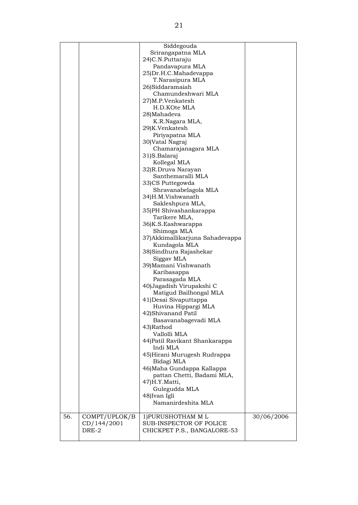|     |               | Siddegouda                       |            |
|-----|---------------|----------------------------------|------------|
|     |               | Srirangapatna MLA                |            |
|     |               | 24) C.N. Puttaraju               |            |
|     |               | Pandavapura MLA                  |            |
|     |               | 25) Dr.H.C. Mahadevappa          |            |
|     |               | T.Narasipura MLA                 |            |
|     |               | 26)Siddaramaiah                  |            |
|     |               |                                  |            |
|     |               | Chamundeshwari MLA               |            |
|     |               | 27)M.P.Venkatesh                 |            |
|     |               | H.D.KOte MLA                     |            |
|     |               | 28)Mahadeva                      |            |
|     |               | K.R.Nagara MLA,                  |            |
|     |               | 29)K.Venkatesh                   |            |
|     |               | Piriyapatna MLA                  |            |
|     |               | 30) Vatal Nagraj                 |            |
|     |               | Chamarajanagara MLA              |            |
|     |               |                                  |            |
|     |               | 31)S.Balaraj                     |            |
|     |               | Kollegal MLA                     |            |
|     |               | 32)R.Druva Narayan               |            |
|     |               | Santhemaralli MLA                |            |
|     |               | 33)CS Puttegowda                 |            |
|     |               | Shravanabelagola MLA             |            |
|     |               | 34)H.M.Vishwanath                |            |
|     |               | Sakleshpura MLA,                 |            |
|     |               | 35)PH Shivashankarappa           |            |
|     |               |                                  |            |
|     |               | Tarikere MLA,                    |            |
|     |               | 36)K.S.Eashwarappa               |            |
|     |               | Shimoga MLA                      |            |
|     |               | 37) Akkimallikarjuna Sahadevappa |            |
|     |               | Kundagola MLA                    |            |
|     |               | 38) Sindhura Rajashekar          |            |
|     |               | Siggav MLA                       |            |
|     |               | 39) Mamani Vishwanath            |            |
|     |               | Karibasappa                      |            |
|     |               |                                  |            |
|     |               | Parasagada MLA                   |            |
|     |               | 40) Jagadish Virupakshi C        |            |
|     |               | Matigud Bailhongal MLA           |            |
|     |               | 41) Desai Sivaputtappa           |            |
|     |               | Huvina Hippargi MLA              |            |
|     |               | 42) Shivanand Patil              |            |
|     |               | Basavanabagevadi MLA             |            |
|     |               | 43)Rathod                        |            |
|     |               | Vallolli MLA                     |            |
|     |               | 44) Patil Ravikant Shankarappa   |            |
|     |               |                                  |            |
|     |               | Indi MLA                         |            |
|     |               | 45) Hirani Murugesh Rudrappa     |            |
|     |               | Bidagi MLA                       |            |
|     |               | 46) Maha Gundappa Kallappa       |            |
|     |               | pattan Chetti, Badami MLA,       |            |
|     |               | 47)H.Y.Matti,                    |            |
|     |               | Gulegudda MLA                    |            |
|     |               | 48) Ivan Igli                    |            |
|     |               | Namanirdeshita MLA               |            |
|     |               |                                  |            |
|     |               |                                  |            |
| 56. | COMPT/UPLOK/B | 1) PURUSHOTHAM ML                | 30/06/2006 |
|     | CD/144/2001   | SUB-INSPECTOR OF POLICE          |            |
|     | DRE-2         | CHICKPET P.S., BANGALORE-53      |            |
|     |               |                                  |            |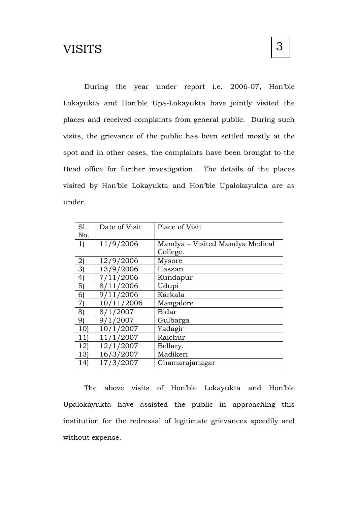## **VISITS**

During the year under report i.e. 2006-07, Hon'ble Lokayukta and Hon'ble Upa-Lokayukta have jointly visited the places and received complaints from general public. During such visits, the grievance of the public has been settled mostly at the spot and in other cases, the complaints have been brought to the Head office for further investigation. The details of the places visited by Hon'ble Lokayukta and Hon'ble Upalokayukta are as under.

| Sl.             | Date of Visit | Place of Visit                  |
|-----------------|---------------|---------------------------------|
| No.             |               |                                 |
| 1)              | 11/9/2006     | Mandya – Visited Mandya Medical |
|                 |               | College.                        |
| $\mathbf{2}$    | 12/9/2006     | Mysore                          |
| 3               | 13/9/2006     | Hassan                          |
| 4               | 7/11/2006     | Kundapur                        |
| 5)              | 8/11/2006     | Udupi                           |
| 6)              | 9/11/2006     | Karkala                         |
| 7)              | 10/11/2006    | Mangalore                       |
| 8)              | 8/1/2007      | <b>Bidar</b>                    |
| 9)              | 9/1/2007      | Gulbarga                        |
| 10 <sub>l</sub> | 10/1/2007     | Yadagir                         |
| 11)             | 11/1/2007     | Raichur                         |
| 12)             | 12/1/2007     | Bellary.                        |
| 13)             | 16/3/2007     | Madikeri                        |
| 14)             | 17/3/2007     | Chamarajanagar                  |

The above visits of Hon'ble Lokayukta and Hon'ble Upalokayukta have assisted the public in approaching this institution for the redressal of legitimate grievances speedily and without expense.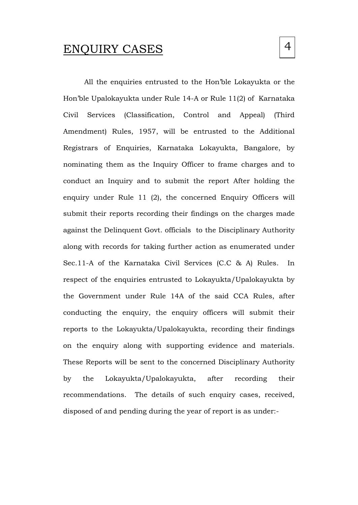### ENQUIRY CASES

All the enquiries entrusted to the Hon'ble Lokayukta or the Hon'ble Upalokayukta under Rule 14-A or Rule 11(2) of Karnataka Civil Services (Classification, Control and Appeal) (Third Amendment) Rules, 1957, will be entrusted to the Additional Registrars of Enquiries, Karnataka Lokayukta, Bangalore, by nominating them as the Inquiry Officer to frame charges and to conduct an Inquiry and to submit the report After holding the enquiry under Rule 11 (2), the concerned Enquiry Officers will submit their reports recording their findings on the charges made against the Delinquent Govt. officials to the Disciplinary Authority along with records for taking further action as enumerated under Sec.11-A of the Karnataka Civil Services (C.C & A) Rules. In respect of the enquiries entrusted to Lokayukta/Upalokayukta by the Government under Rule 14A of the said CCA Rules, after conducting the enquiry, the enquiry officers will submit their reports to the Lokayukta/Upalokayukta, recording their findings on the enquiry along with supporting evidence and materials. These Reports will be sent to the concerned Disciplinary Authority by the Lokayukta/Upalokayukta, after recording their recommendations. The details of such enquiry cases, received,

disposed of and pending during the year of report is as under:-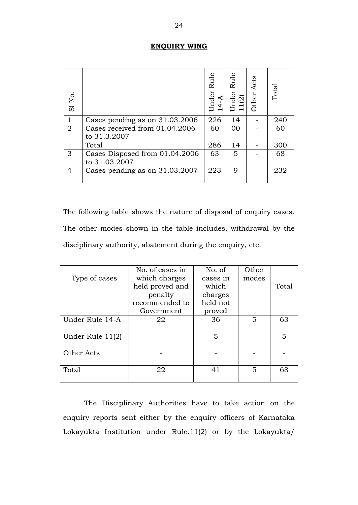#### **ENQUIRY WING**

| SI No.         |                                                 | Under Rule<br>14-A | Rule<br>Under<br>11(2) | Other Acts | Total |
|----------------|-------------------------------------------------|--------------------|------------------------|------------|-------|
|                | Cases pending as on 31.03.2006                  | 226                | 14                     |            | 240   |
| $\overline{2}$ | Cases received from 01.04.2006<br>to 31.3.2007  | 60                 | 00                     |            | 60    |
|                | Total                                           | 286                | 14                     |            | 300   |
| 3              | Cases Disposed from 01.04.2006<br>to 31.03.2007 | 63                 | 5                      |            | 68    |
| 4              | Cases pending as on 31.03.2007                  | 223                | 9                      |            | 232   |

| SI <sub>No</sub> .                                                                                                                                                                                 |                                |                                                                                                | Under<br>$14 - A$                                            | Under<br>11(2) | Other          | ρq    |  |
|----------------------------------------------------------------------------------------------------------------------------------------------------------------------------------------------------|--------------------------------|------------------------------------------------------------------------------------------------|--------------------------------------------------------------|----------------|----------------|-------|--|
| $\mathbf{1}$                                                                                                                                                                                       | Cases pending as on 31.03.2006 |                                                                                                |                                                              | 14             |                | 240   |  |
| $\overline{2}$                                                                                                                                                                                     | to 31.3.2007                   | Cases received from 01.04.2006                                                                 | 60                                                           | 00             |                | 60    |  |
|                                                                                                                                                                                                    | Total                          |                                                                                                | 286                                                          | 14             |                | 300   |  |
| 3                                                                                                                                                                                                  | to 31.03.2007                  | Cases Disposed from 01.04.2006                                                                 | 63                                                           | 5              |                | 68    |  |
| 4                                                                                                                                                                                                  |                                | Cases pending as on 31.03.2007                                                                 | 223                                                          | 9              |                | 232   |  |
| The following table shows the nature of disposal of enquiry cases.<br>The other modes shown in the table includes, withdrawal by the<br>disciplinary authority, abatement during the enquiry, etc. |                                |                                                                                                |                                                              |                |                |       |  |
|                                                                                                                                                                                                    | Type of cases                  | No. of cases in<br>which charges<br>held proved and<br>penalty<br>recommended to<br>Government | No. of<br>cases in<br>which<br>charges<br>held not<br>proved |                | Other<br>modes | Total |  |
|                                                                                                                                                                                                    | Under Rule 14-A                | 22                                                                                             | 36                                                           |                | 5              | 63    |  |
|                                                                                                                                                                                                    | Under Rule 11(2)               |                                                                                                | 5                                                            |                |                | 5     |  |
| Other Acts                                                                                                                                                                                         |                                |                                                                                                |                                                              |                |                |       |  |
| Total                                                                                                                                                                                              |                                | 22                                                                                             | 41                                                           |                | 5              | 68    |  |
| The Disciplinary Authorities have to take action on the<br>enquiry reports sent either by the enquiry officers of Karnataka<br>Lokayukta Institution under Rule.11(2) or by the Lokayukta/         |                                |                                                                                                |                                                              |                |                |       |  |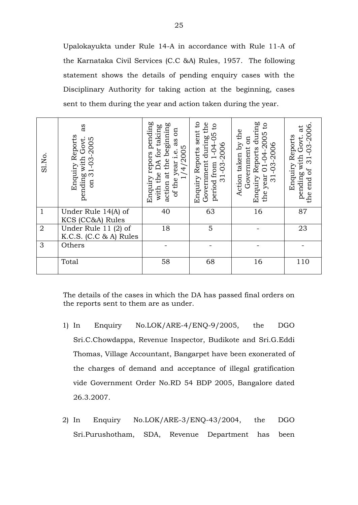Upalokayukta under Rule 14-A in accordance with Rule 11-A of the Karnataka Civil Services (C.C &A) Rules, 1957. The following statement shows the details of pending enquiry cases with the Disciplinary Authority for taking action at the beginning, cases sent to them during the year and action taken during the year.

| SI.No.         | as<br>Enquiry Reports<br>pending with Govt.<br>31-03-2005<br>on | Enquiry repors pending<br>action at the beginning<br>with the DA for taking<br>Eo<br>as<br>1/4/2005<br>of the year i.e. | Enquiry Reports sent to<br>the<br>$\overline{c}$<br>period from 1-04-05<br>during<br>31-03-2006<br>Government | Enquiry Reports during<br>$\overline{c}$<br>Action taken by the<br>$-2005$<br>on<br>31-03-2006<br>Government<br>$01 - 04$<br>the year | 31-03-2006.<br>$\vec{a}$<br>Enquiry Reports<br>pending with Govt.<br>end of<br>the |
|----------------|-----------------------------------------------------------------|-------------------------------------------------------------------------------------------------------------------------|---------------------------------------------------------------------------------------------------------------|---------------------------------------------------------------------------------------------------------------------------------------|------------------------------------------------------------------------------------|
| $\mathbf{1}$   | Under Rule 14(A) of<br>KCS (CC&A) Rules                         | 40                                                                                                                      | 63                                                                                                            | 16                                                                                                                                    | 87                                                                                 |
| $\overline{2}$ | Under Rule $11(2)$ of<br>K.C.S. (C.C & A) Rules                 | 18                                                                                                                      | 5                                                                                                             |                                                                                                                                       | 23                                                                                 |
| 3              | Others                                                          |                                                                                                                         |                                                                                                               |                                                                                                                                       |                                                                                    |
|                | Total                                                           | 58                                                                                                                      | 68                                                                                                            | 16                                                                                                                                    | 110                                                                                |

The details of the cases in which the DA has passed final orders on the reports sent to them are as under.

- 1) In Enquiry No.LOK/ARE-4/ENQ-9/2005, the DGO Sri.C.Chowdappa, Revenue Inspector, Budikote and Sri.G.Eddi Thomas, Village Accountant, Bangarpet have been exonerated of the charges of demand and acceptance of illegal gratification vide Government Order No.RD 54 BDP 2005, Bangalore dated 26.3.2007.
- 2) In Enquiry No.LOK/ARE-3/ENQ-43/2004, the DGO Sri.Purushotham, SDA, Revenue Department has been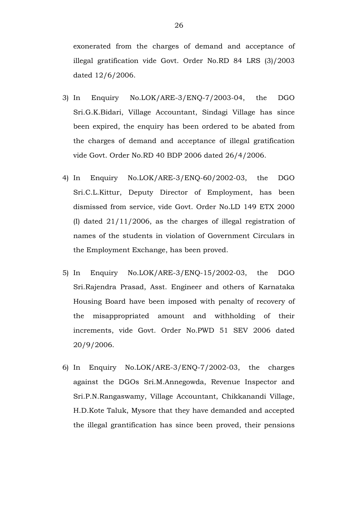exonerated from the charges of demand and acceptance of illegal gratification vide Govt. Order No.RD 84 LRS (3)/2003 dated 12/6/2006.

- 3) In Enquiry No.LOK/ARE-3/ENQ-7/2003-04, the DGO Sri.G.K.Bidari, Village Accountant, Sindagi Village has since been expired, the enquiry has been ordered to be abated from the charges of demand and acceptance of illegal gratification vide Govt. Order No.RD 40 BDP 2006 dated 26/4/2006.
- 4) In Enquiry No.LOK/ARE-3/ENQ-60/2002-03, the DGO Sri.C.L.Kittur, Deputy Director of Employment, has been dismissed from service, vide Govt. Order No.LD 149 ETX 2000 (I) dated 21/11/2006, as the charges of illegal registration of names of the students in violation of Government Circulars in the Employment Exchange, has been proved.
- 5) In Enquiry No.LOK/ARE-3/ENQ-15/2002-03, the DGO Sri.Rajendra Prasad, Asst. Engineer and others of Karnataka Housing Board have been imposed with penalty of recovery of the misappropriated amount and withholding of their increments, vide Govt. Order No.PWD 51 SEV 2006 dated 20/9/2006.
- 6) In Enquiry No.LOK/ARE-3/ENQ-7/2002-03, the charges against the DGOs Sri.M.Annegowda, Revenue Inspector and Sri.P.N.Rangaswamy, Village Accountant, Chikkanandi Village, H.D.Kote Taluk, Mysore that they have demanded and accepted the illegal grantification has since been proved, their pensions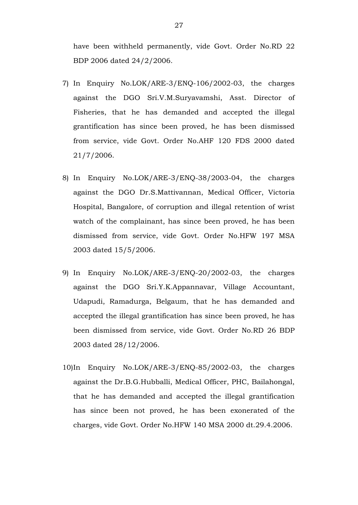have been withheld permanently, vide Govt. Order No.RD 22 BDP 2006 dated 24/2/2006.

- 7) In Enquiry No.LOK/ARE-3/ENQ-106/2002-03, the charges against the DGO Sri.V.M.Suryavamshi, Asst. Director of Fisheries, that he has demanded and accepted the illegal grantification has since been proved, he has been dismissed from service, vide Govt. Order No.AHF 120 FDS 2000 dated 21/7/2006.
- 8) In Enquiry No.LOK/ARE-3/ENQ-38/2003-04, the charges against the DGO Dr.S.Mattivannan, Medical Officer, Victoria Hospital, Bangalore, of corruption and illegal retention of wrist watch of the complainant, has since been proved, he has been dismissed from service, vide Govt. Order No.HFW 197 MSA 2003 dated 15/5/2006.
- 9) In Enquiry No.LOK/ARE-3/ENQ-20/2002-03, the charges against the DGO Sri.Y.K.Appannavar, Village Accountant, Udapudi, Ramadurga, Belgaum, that he has demanded and accepted the illegal grantification has since been proved, he has been dismissed from service, vide Govt. Order No.RD 26 BDP 2003 dated 28/12/2006.
- 10)In Enquiry No.LOK/ARE-3/ENQ-85/2002-03, the charges against the Dr.B.G.Hubballi, Medical Officer, PHC, Bailahongal, that he has demanded and accepted the illegal grantification has since been not proved, he has been exonerated of the charges, vide Govt. Order No.HFW 140 MSA 2000 dt.29.4.2006.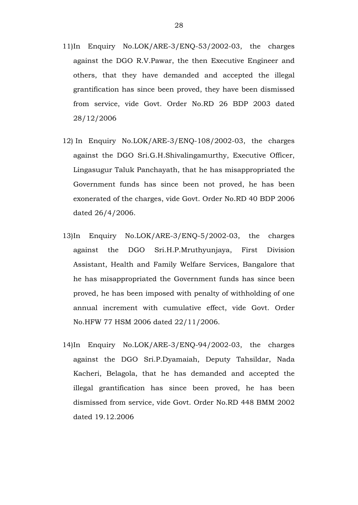- 11)In Enquiry No.LOK/ARE-3/ENQ-53/2002-03, the charges against the DGO R.V.Pawar, the then Executive Engineer and others, that they have demanded and accepted the illegal grantification has since been proved, they have been dismissed from service, vide Govt. Order No.RD 26 BDP 2003 dated 28/12/2006
- 12) In Enquiry No.LOK/ARE-3/ENQ-108/2002-03, the charges against the DGO Sri.G.H.Shivalingamurthy, Executive Officer, Lingasugur Taluk Panchayath, that he has misappropriated the Government funds has since been not proved, he has been exonerated of the charges, vide Govt. Order No.RD 40 BDP 2006 dated 26/4/2006.
- 13)In Enquiry No.LOK/ARE-3/ENQ-5/2002-03, the charges against the DGO Sri.H.P.Mruthyunjaya, First Division Assistant, Health and Family Welfare Services, Bangalore that he has misappropriated the Government funds has since been proved, he has been imposed with penalty of withholding of one annual increment with cumulative effect, vide Govt. Order No.HFW 77 HSM 2006 dated 22/11/2006.
- 14)In Enquiry No.LOK/ARE-3/ENQ-94/2002-03, the charges against the DGO Sri.P.Dyamaiah, Deputy Tahsildar, Nada Kacheri, Belagola, that he has demanded and accepted the illegal grantification has since been proved, he has been dismissed from service, vide Govt. Order No.RD 448 BMM 2002 dated 19.12.2006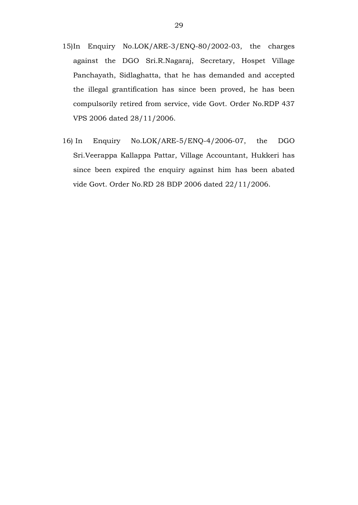- 15)In Enquiry No.LOK/ARE-3/ENQ-80/2002-03, the charges against the DGO Sri.R.Nagaraj, Secretary, Hospet Village Panchayath, Sidlaghatta, that he has demanded and accepted the illegal grantification has since been proved, he has been compulsorily retired from service, vide Govt. Order No.RDP 437 VPS 2006 dated 28/11/2006.
- 16) In Enquiry No.LOK/ARE-5/ENQ-4/2006-07, the DGO Sri.Veerappa Kallappa Pattar, Village Accountant, Hukkeri has since been expired the enquiry against him has been abated vide Govt. Order No.RD 28 BDP 2006 dated 22/11/2006.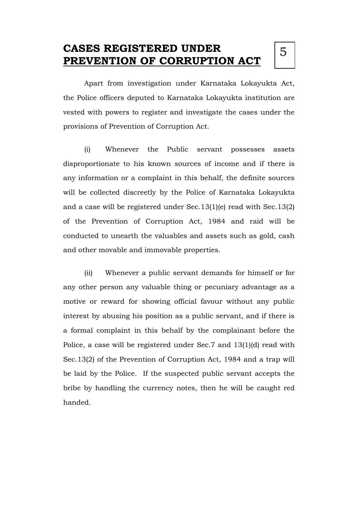## **CASES REGISTERED UNDER PREVENTION OF CORRUPTION ACT**

Apart from investigation under Karnataka Lokayukta Act, the Police officers deputed to Karnataka Lokayukta institution are vested with powers to register and investigate the cases under the provisions of Prevention of Corruption Act.

(i) Whenever the Public servant possesses assets disproportionate to his known sources of income and if there is any information or a complaint in this behalf, the definite sources will be collected discreetly by the Police of Karnataka Lokayukta and a case will be registered under Sec.13(1)(e) read with Sec.13(2) of the Prevention of Corruption Act, 1984 and raid will be conducted to unearth the valuables and assets such as gold, cash and other movable and immovable properties.

(ii) Whenever a public servant demands for himself or for any other person any valuable thing or pecuniary advantage as a motive or reward for showing official favour without any public interest by abusing his position as a public servant, and if there is a formal complaint in this behalf by the complainant before the Police, a case will be registered under Sec.7 and 13(1)(d) read with Sec.13(2) of the Prevention of Corruption Act, 1984 and a trap will be laid by the Police. If the suspected public servant accepts the bribe by handling the currency notes, then he will be caught red handed.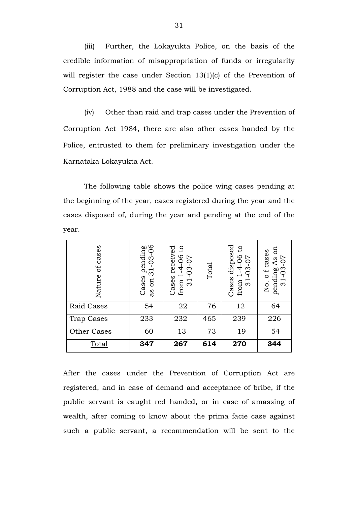(iii) Further, the Lokayukta Police, on the basis of the credible information of misappropriation of funds or irregularity will register the case under Section 13(1)(c) of the Prevention of Corruption Act, 1988 and the case will be investigated.

(iv) Other than raid and trap cases under the Prevention of Corruption Act 1984, there are also other cases handed by the Police, entrusted to them for preliminary investigation under the Karnataka Lokayukta Act.

The following table shows the police wing cases pending at the beginning of the year, cases registered during the year and the cases disposed of, during the year and pending at the end of the year.

| cases<br>ð<br>Nature | pending<br>31-03-06<br>$\overline{\mathrm{c}}$<br>Cases<br>on<br>as | $\mathsf{c}$<br>received<br>4-06<br>70<br>က<br>⌒<br>Cases<br>from<br>$\overline{5}$ | Total | disposed<br>$\mathsf{c}$<br>66<br>$-0.5$<br>4<br>0<br>$\overline{\phantom{m}}$<br>Cases<br>$\overline{31}$<br>from | g<br>o f cases<br>5Q<br>As<br>$03 -$<br>pending<br>$\overline{31}$<br>Χo. |
|----------------------|---------------------------------------------------------------------|-------------------------------------------------------------------------------------|-------|--------------------------------------------------------------------------------------------------------------------|---------------------------------------------------------------------------|
| <b>Raid Cases</b>    | 54                                                                  | 22                                                                                  | 76    | 12                                                                                                                 | 64                                                                        |
| Trap Cases           | 233                                                                 | 232                                                                                 | 465   | 239                                                                                                                | 226                                                                       |
| Other Cases          | 60                                                                  | 13                                                                                  | 73    | 19                                                                                                                 | 54                                                                        |
| Total                | 347                                                                 | 267                                                                                 | 614   | 270                                                                                                                | 344                                                                       |

After the cases under the Prevention of Corruption Act are registered, and in case of demand and acceptance of bribe, if the public servant is caught red handed, or in case of amassing of wealth, after coming to know about the prima facie case against such a public servant, a recommendation will be sent to the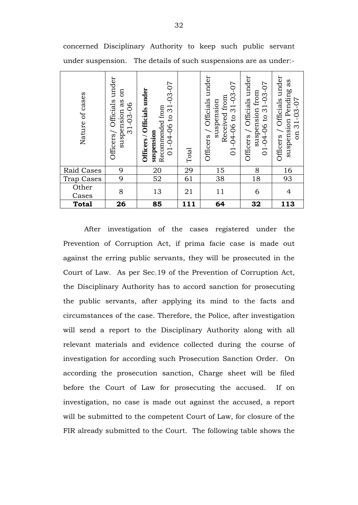| Nature of cases   | Officers/ Officials under<br>$\mathfrak{g}$<br>as<br>$31 - 03 - 06$<br>suspension | $01 - 04 - 06$ to $31 - 03 - 07$<br>Officers / Officials under<br>Recommended from<br>suspension | Total | under<br>$-04-06$ to 31-03-07<br>Received from<br>Officials<br>suspension<br>Officers<br>$\overline{C}$ | Officers / Officials under<br>$31 - 03 - 07$<br>suspension from<br>$\overline{c}$<br>$01 - 04 - 06$ | Officials under<br>suspension Pending as<br>$31 - 03 - 07$<br>Officers /<br>$\overline{a}$ |
|-------------------|-----------------------------------------------------------------------------------|--------------------------------------------------------------------------------------------------|-------|---------------------------------------------------------------------------------------------------------|-----------------------------------------------------------------------------------------------------|--------------------------------------------------------------------------------------------|
| Raid Cases        | 9                                                                                 | 20                                                                                               | 29    | 15                                                                                                      | 8                                                                                                   | 16                                                                                         |
| <b>Trap Cases</b> | 9                                                                                 | 52                                                                                               | 61    | 38                                                                                                      | 18                                                                                                  | 93                                                                                         |
| Other<br>Cases    | 8                                                                                 | 13                                                                                               | 21    | 11                                                                                                      | 6                                                                                                   | 4                                                                                          |
| <b>Total</b>      | 26                                                                                | 85                                                                                               | 111   | 64                                                                                                      | 32                                                                                                  | 113                                                                                        |

concerned Disciplinary Authority to keep such public servant under suspension. The details of such suspensions are as under:-

After investigation of the cases registered under the Prevention of Corruption Act, if prima facie case is made out against the erring public servants, they will be prosecuted in the Court of Law. As per Sec.19 of the Prevention of Corruption Act, the Disciplinary Authority has to accord sanction for prosecuting the public servants, after applying its mind to the facts and circumstances of the case. Therefore, the Police, after investigation will send a report to the Disciplinary Authority along with all relevant materials and evidence collected during the course of investigation for according such Prosecution Sanction Order. On according the prosecution sanction, Charge sheet will be filed before the Court of Law for prosecuting the accused. If on investigation, no case is made out against the accused, a report will be submitted to the competent Court of Law, for closure of the FIR already submitted to the Court. The following table shows the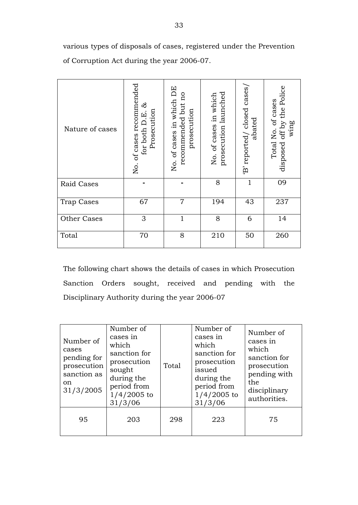various types of disposals of cases, registered under the Prevention of Corruption Act during the year 2006-07.

| Nature of cases   | of cases recommended<br>ಜೆ<br>Prosecution<br><u>ដ</u><br>for both D.<br>Σó. | No. of cases in which DE<br>recommended but no<br>prosecution | prosecution launched<br>No. of cases in which | 'B' reported/ closed cases/<br>abated | off by the Police<br>Total No. of cases<br>wing<br>disposed |
|-------------------|-----------------------------------------------------------------------------|---------------------------------------------------------------|-----------------------------------------------|---------------------------------------|-------------------------------------------------------------|
| Raid Cases        |                                                                             |                                                               | 8                                             | $\mathbf{1}$                          | 09                                                          |
| <b>Trap Cases</b> | 67                                                                          | $\overline{7}$                                                | 194                                           | 43                                    | 237                                                         |
| Other Cases       | 3                                                                           | $\mathbf{1}$                                                  | 8                                             | 6                                     | 14                                                          |
| Total             | 70                                                                          | 8                                                             | 210                                           | 50                                    | 260                                                         |

The following chart shows the details of cases in which Prosecution Sanction Orders sought, received and pending with the Disciplinary Authority during the year 2006-07

| Number of<br>cases<br>pending for<br>prosecution<br>sanction as<br>on<br>31/3/2005 | Number of<br>cases in<br>which<br>sanction for<br>prosecution<br>sought<br>during the<br>period from<br>$1/4/2005$ to<br>31/3/06 | Total | Number of<br>cases in<br>which<br>sanction for<br>prosecution<br>issued<br>during the<br>period from<br>$1/4/2005$ to<br>31/3/06 | Number of<br>cases in<br>which<br>sanction for<br>prosecution<br>pending with<br>the<br>disciplinary<br>authorities. |
|------------------------------------------------------------------------------------|----------------------------------------------------------------------------------------------------------------------------------|-------|----------------------------------------------------------------------------------------------------------------------------------|----------------------------------------------------------------------------------------------------------------------|
| 95                                                                                 | 203                                                                                                                              | 298   | 223                                                                                                                              | 75                                                                                                                   |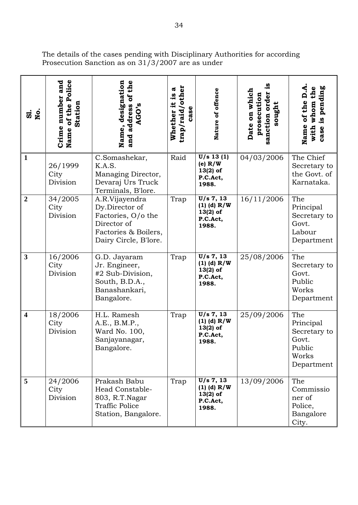| $\overline{a}$ is       | Name of the Police<br>Crime number and<br><b>Station</b> | of the<br>designation<br>AGO's<br>address<br>Name,<br>and                                                              | 'other<br>ದ<br><u>.g</u><br>Whether it<br>case<br>trap/raid/ | Nature of offence                                              | Date on which<br>sanction order<br>prosecution<br>sought | is pending<br>the<br>$\dot{\mathsf{q}}$<br>of the<br>whom<br>Name<br>with<br>case |
|-------------------------|----------------------------------------------------------|------------------------------------------------------------------------------------------------------------------------|--------------------------------------------------------------|----------------------------------------------------------------|----------------------------------------------------------|-----------------------------------------------------------------------------------|
| 1                       | 26/1999<br>City<br>Division                              | C.Somashekar,<br>K.A.S.<br>Managing Director,<br>Devaraj Urs Truck<br>Terminals, B'lore.                               | Raid                                                         | $U/s$ 13 $(1)$<br>(e) $R/W$<br>$13(2)$ of<br>P.C.Act,<br>1988. | 04/03/2006                                               | The Chief<br>Secretary to<br>the Govt. of<br>Karnataka.                           |
| $\overline{2}$          | 34/2005<br>City<br>Division                              | A.R.Vijayendra<br>Dy.Director of<br>Factories, O/o the<br>Director of<br>Factories & Boilers,<br>Dairy Circle, B'lore. | Trap                                                         | U/s 7, 13<br>$(1)$ (d) R/W<br>$13(2)$ of<br>P.C.Act,<br>1988.  | 16/11/2006                                               | The<br>Principal<br>Secretary to<br>Govt.<br>Labour<br>Department                 |
| $\mathbf{3}$            | 16/2006<br>City<br>Division                              | G.D. Jayaram<br>Jr. Engineer,<br>#2 Sub-Division,<br>South, B.D.A.,<br>Banashankari,<br>Bangalore.                     | Trap                                                         | U/s 7, 13<br>$(1)$ (d) R/W<br>$13(2)$ of<br>P.C.Act,<br>1988.  | 25/08/2006                                               | The<br>Secretary to<br>Govt.<br>Public<br>Works<br>Department                     |
| $\overline{\mathbf{4}}$ | 18/2006<br>City<br>Division                              | H.L. Ramesh<br>A.E., B.M.P.,<br>Ward No. 100,<br>Sanjayanagar,<br>Bangalore.                                           | Trap                                                         | U/s 7, 13<br>$(1)$ (d) R/W<br>$13(2)$ of<br>P.C.Act.<br>1988.  | 25/09/2006                                               | The<br>Principal<br>Secretary to<br>Govt.<br>Public<br>Works<br>Department        |
| 5                       | 24/2006<br>City<br>Division                              | Prakash Babu<br>Head Constable-<br>803, R.T.Nagar<br><b>Traffic Police</b><br>Station, Bangalore.                      | Trap                                                         | U/s 7, 13<br>$(1)$ (d) R/W<br>$13(2)$ of<br>P.C.Act,<br>1988.  | 13/09/2006                                               | The<br>Commissio<br>ner of<br>Police,<br>Bangalore<br>City.                       |

The details of the cases pending with Disciplinary Authorities for according Prosecution Sanction as on 31/3/2007 are as under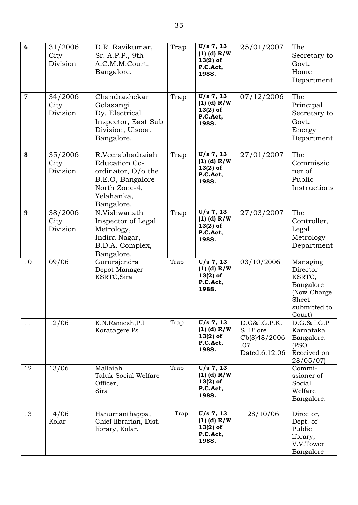| 6                | 31/2006<br>City<br>Division | D.R. Ravikumar,<br>Sr. A.P.P., 9th<br>A.C.M.M.Court,<br>Bangalore.                                                              | Trap | U/s 7, 13<br>$(1)$ (d) R/W<br>$13(2)$ of<br>P.C.Act,<br>1988.   | 25/01/2007                                                        | The<br>Secretary to<br>Govt.<br>Home<br>Department                                            |
|------------------|-----------------------------|---------------------------------------------------------------------------------------------------------------------------------|------|-----------------------------------------------------------------|-------------------------------------------------------------------|-----------------------------------------------------------------------------------------------|
| $\overline{7}$   | 34/2006<br>City<br>Division | Chandrashekar<br>Golasangi<br>Dy. Electrical<br>Inspector, East Sub<br>Division, Ulsoor,<br>Bangalore.                          | Trap | U/s 7, 13<br>$(1)$ (d) R/W<br>$13(2)$ of<br>P.C.Act,<br>1988.   | 07/12/2006                                                        | The<br>Principal<br>Secretary to<br>Govt.<br>Energy<br>Department                             |
| 8                | 35/2006<br>City<br>Division | R.Veerabhadraiah<br><b>Education Co-</b><br>ordinator, O/o the<br>B.E.O, Bangalore<br>North Zone-4,<br>Yelahanka,<br>Bangalore. | Trap | U/s 7, 13<br>$(1)$ (d) R/W<br>$13(2)$ of<br>P.C.Act,<br>1988.   | 27/01/2007                                                        | The<br>Commissio<br>ner of<br>Public<br>Instructions                                          |
| $\boldsymbol{9}$ | 38/2006<br>City<br>Division | N.Vishwanath<br>Inspector of Legal<br>Metrology,<br>Indira Nagar,<br>B.D.A. Complex,<br>Bangalore.                              | Trap | $U/s$ 7, 13<br>$(1)$ (d) R/W<br>$13(2)$ of<br>P.C.Act,<br>1988. | 27/03/2007                                                        | The<br>Controller,<br>Legal<br>Metrology<br>Department                                        |
| 10               | 09/06                       | Gururajendra<br>Depot Manager<br>KSRTC, Sira                                                                                    | Trap | U/s 7, 13<br>$(1)$ (d) R/W<br>$13(2)$ of<br>P.C.Act,<br>1988.   | 03/10/2006                                                        | Managing<br>Director<br>KSRTC,<br>Bangalore<br>(Now Charge<br>Sheet<br>submitted to<br>Court) |
| 11               | 12/06                       | K.N.Ramesh, P.I<br>Koratagere Ps                                                                                                | Trap | U/s 7, 13<br>$(1)$ (d) R/W<br>$13(2)$ of<br>P.C.Act,<br>1988.   | D.G&I.G.P.K.<br>S. B'lore<br>Cb(8)48/2006<br>.07<br>Dated.6.12.06 | D.G.& I.G.P<br>Karnataka<br>Bangalore.<br>(PSO<br>Received on<br>28/05/07                     |
| 12               | 13/06                       | Mallaiah<br><b>Taluk Social Welfare</b><br>Officer,<br>Sira                                                                     | Trap | U/s 7, 13<br>$(1)$ (d) R/W<br>$13(2)$ of<br>P.C.Act,<br>1988.   |                                                                   | Commi-<br>ssioner of<br>Social<br>Welfare<br>Bangalore.                                       |
| 13               | 14/06<br>Kolar              | Hanumanthappa,<br>Chief librarian, Dist.<br>library, Kolar.                                                                     | Trap | U/s 7, 13<br>$(1)$ (d) R/W<br>$13(2)$ of<br>P.C.Act,<br>1988.   | 28/10/06                                                          | Director,<br>Dept. of<br>Public<br>library,<br>V.V.Tower<br>Bangalore                         |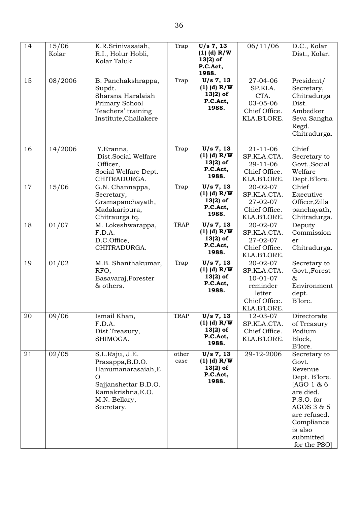| 14 | 15/06<br>Kolar | K.R.Srinivasaiah,<br>R.I., Holur Hobli,<br>Kolar Taluk                                                                                           | Trap          | U/s 7, 13<br>$(1)$ (d) R/W<br>$13(2)$ of<br>P.C.Act,<br>1988. | 06/11/06                                                                                        | D.C., Kolar<br>Dist., Kolar.                                                                                                                                                  |
|----|----------------|--------------------------------------------------------------------------------------------------------------------------------------------------|---------------|---------------------------------------------------------------|-------------------------------------------------------------------------------------------------|-------------------------------------------------------------------------------------------------------------------------------------------------------------------------------|
| 15 | 08/2006        | B. Panchakshrappa,<br>Supdt.<br>Sharana Haralaiah<br>Primary School<br>Teachers' training<br>Institute, Challakere                               | Trap          | U/s 7, 13<br>$(1)$ (d) R/W<br>$13(2)$ of<br>P.C.Act,<br>1988. | 27-04-06<br>SP.KLA.<br>CTA.<br>03-05-06<br>Chief Office.<br>KLA.B'LORE.                         | President/<br>Secretary,<br>Chitradurga<br>Dist.<br>Ambedker<br>Seva Sangha<br>Regd.<br>Chitradurga.                                                                          |
| 16 | 14/2006        | Y.Eranna,<br>Dist.Social Welfare<br>Officer,<br>Social Welfare Dept.<br>CHITRADURGA.                                                             | Trap          | U/s 7, 13<br>$(1)$ (d) R/W<br>$13(2)$ of<br>P.C.Act,<br>1988. | $21 - 11 - 06$<br>SP.KLA.CTA.<br>29-11-06<br>Chief Office.<br>KLA.B'LORE.                       | Chief<br>Secretary to<br>Govt., Social<br>Welfare<br>Dept.B'lore.                                                                                                             |
| 17 | 15/06          | G.N. Channappa,<br>Secretary,<br>Gramapanchayath,<br>Madakaripura,<br>Chitraurga tq.                                                             | Trap          | U/s 7, 13<br>$(1)$ (d) R/W<br>$13(2)$ of<br>P.C.Act,<br>1988. | 20-02-07<br>SP.KLA.CTA.<br>27-02-07<br>Chief Office.<br>KLA.B'LORE.                             | Chief<br>Executive<br>Officer, Zilla<br>panchayath,<br>Chitradurga.                                                                                                           |
| 18 | 01/07          | M. Lokeshwarappa,<br>F.D.A.<br>D.C.Office,<br>CHITRADURGA.                                                                                       | <b>TRAP</b>   | U/s 7, 13<br>$(1)$ (d) R/W<br>$13(2)$ of<br>P.C.Act,<br>1988. | 20-02-07<br>SP.KLA.CTA.<br>27-02-07<br>Chief Office.<br>KLA.B'LORE.                             | Deputy<br>Commission<br>er<br>Chitradurga.                                                                                                                                    |
| 19 | 01/02          | M.B. Shanthakumar,<br>RFO,<br>Basavaraj, Forester<br>& others.                                                                                   | Trap          | U/s 7, 13<br>$(1)$ (d) R/W<br>$13(2)$ of<br>P.C.Act,<br>1988. | 20-02-07<br>SP.KLA.CTA.<br>$10 - 01 - 07$<br>reminder<br>letter<br>Chief Office.<br>KLA.B'LORE. | Secretary to<br>Govt., Forest<br>&<br>Environment<br>dept.<br>B'lore.                                                                                                         |
| 20 | 09/06          | Ismail Khan,<br>F.D.A.<br>Dist.Treasury,<br>SHIMOGA.                                                                                             | <b>TRAP</b>   | U/s 7, 13<br>$(1)$ (d) R/W<br>$13(2)$ of<br>P.C.Act,<br>1988. | 12-03-07<br>SP.KLA.CTA.<br>Chief Office.<br>KLA.B'LORE.                                         | Directorate<br>of Treasury<br>Podium<br>Block,<br>B'lore.                                                                                                                     |
| 21 | $\sqrt{02/05}$ | S.L.Raju, J.E.<br>Prasappa, B.D.O.<br>Hanumanarasaiah, E<br>$\Omega$<br>Sajjanshettar B.D.O.<br>Ramakrishna, E.O.<br>M.N. Bellary,<br>Secretary. | other<br>case | U/s 7, 13<br>$(1)$ (d) R/W<br>$13(2)$ of<br>P.C.Act,<br>1988. | $\overline{2}$ 9-12-2006                                                                        | Secretary to<br>Govt.<br>Revenue<br>Dept. B'lore.<br>[AGO 1 & 6<br>are died.<br>P.S.O. for<br>AGOS 3 & 5<br>are refused.<br>Compliance<br>is also<br>submitted<br>for the PSO |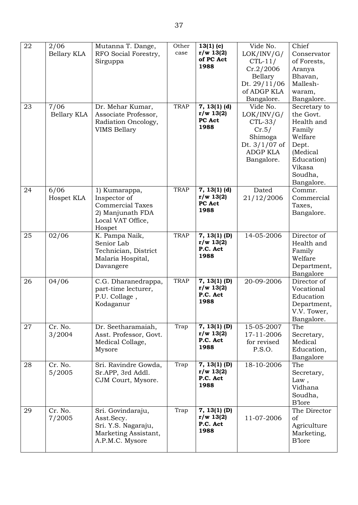| 22 | 2/06<br>Bellary KLA | Mutanna T. Dange,<br>RFO Social Forestry,<br>Sirguppa                                                       | Other<br>case | $13(1)$ (c)<br>r/w 13(2)<br>of PC Act<br>1988             | Vide No.<br>LOK/INV/G/<br>$CTL-11/$<br>Cr.2/2006<br>Bellary<br>Dt. 29/11/06<br>of ADGP KLA<br>Bangalore. | Chief<br>Conservator<br>of Forests,<br>Aranya<br>Bhavan,<br>Mallesh-<br>waram,<br>Bangalore.                                       |
|----|---------------------|-------------------------------------------------------------------------------------------------------------|---------------|-----------------------------------------------------------|----------------------------------------------------------------------------------------------------------|------------------------------------------------------------------------------------------------------------------------------------|
| 23 | 7/06<br>Bellary KLA | Dr. Mehar Kumar,<br>Associate Professor,<br>Radiation Oncology,<br><b>VIMS Bellary</b>                      | <b>TRAP</b>   | $\overline{7}$ , 13(1) (d)<br>r/w 13(2)<br>PC Act<br>1988 | Vide No.<br>LOK/INV/G/<br>$CTL-33/$<br>Cr.5/<br>Shimoga<br>Dt. $3/1/07$ of<br>ADGP KLA<br>Bangalore.     | Secretary to<br>the Govt.<br>Health and<br>Family<br>Welfare<br>Dept.<br>(Medical<br>Education)<br>Vikasa<br>Soudha,<br>Bangalore. |
| 24 | 6/06<br>Hospet KLA  | 1) Kumarappa,<br>Inspector of<br><b>Commercial Taxes</b><br>2) Manjunath FDA<br>Local VAT Office,<br>Hospet | <b>TRAP</b>   | $7, 13(1)$ (d)<br>r/w 13(2)<br>PC Act<br>1988             | Dated<br>21/12/2006                                                                                      | Commr.<br>Commercial<br>Taxes,<br>Bangalore.                                                                                       |
| 25 | 02/06               | K. Pampa Naik,<br>Senior Lab<br>Technician, District<br>Malaria Hospital,<br>Davangere                      | <b>TRAP</b>   | $7, 13(1)$ (D)<br>r/w 13(2)<br>P.C. Act<br>1988           | 14-05-2006                                                                                               | Director of<br>Health and<br>Family<br>Welfare<br>Department,<br>Bangalore                                                         |
| 26 | 04/06               | C.G. Dharanedrappa,<br>part-time lecturer,<br>P.U. Collage,<br>Kodaganur                                    | <b>TRAP</b>   | $7, 13(1)$ (D)<br>r/w 13(2)<br>P.C. Act<br>1988           | 20-09-2006                                                                                               | Director of<br>Vocational<br>Education<br>Department,<br>V.V. Tower,<br>Bangalore.                                                 |
| 27 | Cr. No.<br>3/2004   | Dr. Seetharamaiah,<br>Asst. Professor, Govt.<br>Medical Collage,<br>Mysore                                  | Trap          | $7, 13(1)$ (D)<br>r/w 13(2)<br>P.C. Act<br>1988           | 15-05-2007<br>17-11-2006<br>for revised<br>P.S.O.                                                        | The<br>Secretary,<br>Medical<br>Education,<br>Bangalore                                                                            |
| 28 | Cr. No.<br>5/2005   | Sri. Ravindre Gowda,<br>Sr.APP, 3rd Addl.<br>CJM Court, Mysore.                                             | Trap          | $7, 13(1)$ (D)<br>r/w 13(2)<br>P.C. Act<br>1988           | 18-10-2006                                                                                               | The<br>Secretary,<br>Law,<br>Vidhana<br>Soudha,<br><b>B</b> lore                                                                   |
| 29 | Cr. No.<br>7/2005   | Sri. Govindaraju,<br>Asst.Secy.<br>Sri. Y.S. Nagaraju,<br>Marketing Assistant,<br>A.P.M.C. Mysore           | Trap          | $7, 13(1)$ (D)<br>r/w 13(2)<br>P.C. Act<br>1988           | 11-07-2006                                                                                               | The Director<br>of<br>Agriculture<br>Marketing,<br><b>B</b> lore                                                                   |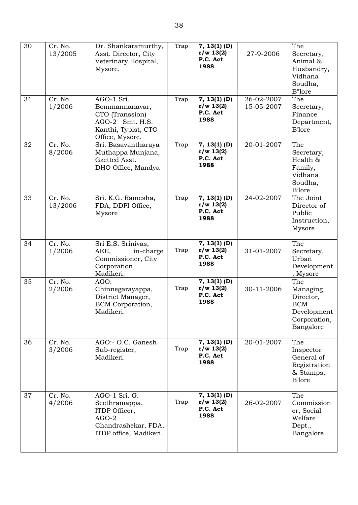| 30<br>31 | Cr. No.<br>13/2005<br>Cr. No.<br>1/2006 | Dr. Shankaramurthy,<br>Asst. Director, City<br>Veterinary Hospital,<br>Mysore.<br>AGO-1 Sri.<br>Bommannanavar, | Trap<br>Trap | $7, 13(1)$ (D)<br>r/w 13(2)<br>P.C. Act<br>1988<br>$7, 13(1)$ (D)<br>r/w 13(2)<br>P.C. Act | 27-9-2006<br>26-02-2007<br>15-05-2007 | The<br>Secretary,<br>Animal &<br>Husbandry,<br>Vidhana<br>Soudha,<br>B"lore<br>The<br>Secretary, |
|----------|-----------------------------------------|----------------------------------------------------------------------------------------------------------------|--------------|--------------------------------------------------------------------------------------------|---------------------------------------|--------------------------------------------------------------------------------------------------|
|          |                                         | CTO (Transsion)<br>AGO-2 Smt. H.S.<br>Kanthi, Typist, CTO<br>Office, Mysore.                                   |              | 1988                                                                                       |                                       | Finance<br>Department,<br><b>B</b> lore                                                          |
| 32       | Cr. No.<br>8/2006                       | Sri. Basavantharaya<br>Muthappa Munjana,<br>Gzetted Asst.<br>DHO Office, Mandya                                | Trap         | $7, 13(1)$ (D)<br>r/w 13(2)<br>P.C. Act<br>1988                                            | 20-01-2007                            | The<br>Secretary,<br>Health &<br>Family,<br>Vidhana<br>Soudha,<br><b>B</b> lore                  |
| 33       | Cr. No.<br>13/2006                      | Sri. K.G. Ramesha,<br>FDA, DDPI Office,<br>Mysore                                                              | Trap         | $7, 13(1)$ (D)<br>r/w 13(2)<br>P.C. Act<br>1988                                            | 24-02-2007                            | The Joint<br>Director of<br>Public<br>Instruction,<br>Mysore                                     |
| 34       | Cr. No.<br>1/2006                       | Sri E.S. Srinivas,<br>AEE,<br>in-charge<br>Commissioner, City<br>Corporation,<br>Madikeri.                     | Trap         | $7, 13(1)$ (D)<br>r/w 13(2)<br>P.C. Act<br>1988                                            | 31-01-2007                            | The<br>Secretary,<br>Urban<br>Development<br>, Mysore                                            |
| 35       | Cr. No.<br>2/2006                       | AGO:<br>Chinnegarayappa,<br>District Manager,<br><b>BCM</b> Corporation,<br>Madikeri.                          | Trap         | $7, 13(1)$ (D)<br>r/w 13(2)<br>P.C. Act<br>1988                                            | 30-11-2006                            | The<br>Managing<br>Director,<br><b>BCM</b><br>Development<br>Corporation,<br>Bangalore           |
| 36       | Cr. No.<br>3/2006                       | AGO:- O.C. Ganesh<br>Sub-register,<br>Madikeri.                                                                | Trap         | $7, 13(1)$ (D)<br>r/w 13(2)<br>P.C. Act<br>1988                                            | 20-01-2007                            | The<br>Inspector<br>General of<br>Registration<br>& Stamps,<br><b>B</b> lore                     |
| 37       | Cr. No.<br>4/2006                       | AGO-1 Sri. G.<br>Seethramappa,<br>ITDP Officer,<br>$AGO-2$<br>Chandrashekar, FDA,<br>ITDP office, Madikeri.    | Trap         | $7, 13(1)$ (D)<br>r/w 13(2)<br>P.C. Act<br>1988                                            | 26-02-2007                            | The<br>Commission<br>er, Social<br>Welfare<br>Dept.,<br>Bangalore                                |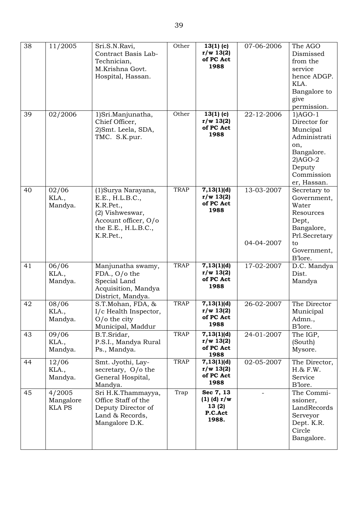| 38 | 11/2005                              | Sri.S.N.Ravi,<br>Contract Basis Lab-<br>Technician,<br>M.Krishna Govt.<br>Hospital, Hassan.                                          | Other       | $13(1)$ (c)<br>r/w 13(2)<br>of PC Act<br>1988             | 07-06-2006               | The AGO<br>Dismissed<br>from the<br>service<br>hence ADGP.<br>KLA.<br>Bangalore to<br>give<br>permission.                      |
|----|--------------------------------------|--------------------------------------------------------------------------------------------------------------------------------------|-------------|-----------------------------------------------------------|--------------------------|--------------------------------------------------------------------------------------------------------------------------------|
| 39 | 02/2006                              | 1) Sri. Manjunatha,<br>Chief Officer,<br>2)Smt. Leela, SDA,<br>TMC. S.K.pur.                                                         | Other       | $13(1)$ (c)<br>r/w 13(2)<br>of PC Act<br>1988             | 22-12-2006               | $1)AGO-1$<br>Director for<br>Muncipal<br>Administrati<br>on,<br>Bangalore.<br>$2)AGO-2$<br>Deputy<br>Commission<br>er, Hassan. |
| 40 | 02/06<br>KLA.,<br>Mandya.            | (1) Surya Narayana,<br>E.E., H.L.B.C.,<br>K.R.Pet.,<br>(2) Vishweswar,<br>Account officer, O/o<br>the E.E., $H.L.B.C.,$<br>K.R.Pet., | <b>TRAP</b> | 7,13(1)(d)<br>r/w 13(2)<br>of PC Act<br>1988              | 13-03-2007<br>04-04-2007 | Secretary to<br>Government,<br>Water<br>Resources<br>Dept,<br>Bangalore,<br>Prl.Secretary<br>to<br>Government,                 |
| 41 | 06/06<br>KLA.,<br>Mandya.            | Manjunatha swamy,<br>FDA., O/o the<br>Special Land<br>Acquisition, Mandya<br>District, Mandya.                                       | <b>TRAP</b> | 7,13(1)(d)<br>r/w 13(2)<br>of PC Act<br>1988              | 17-02-2007               | B'lore.<br>D.C. Mandya<br>Dist.<br>Mandya                                                                                      |
| 42 | 08/06<br>KLA.,<br>Mandya.            | S.T.Mohan, FDA, &<br>I/c Health Inspector,<br>$O/O$ the city<br>Municipal, Maddur                                                    | <b>TRAP</b> | 7,13(1)(d)<br>r/w 13(2)<br>of PC Act<br>1988              | 26-02-2007               | The Director<br>Municipal<br>Admn.,<br>B'lore.                                                                                 |
| 43 | 09/06<br>KLA.,<br>Mandya.            | B.T.Sridar,<br>P.S.I., Mandya Rural<br>Ps., Mandya.                                                                                  | <b>TRAP</b> | 7,13(1)(d)<br>r/w 13(2)<br>of PC Act<br>1988              | 24-01-2007               | The IGP,<br>(South)<br>Mysore.                                                                                                 |
| 44 | 12/06<br>KLA.,<br>Mandya.            | Smt. Jyothi, Lay-<br>secretary, O/o the<br>General Hospital,<br>Mandya.                                                              | <b>TRAP</b> | 7,13(1)(d)<br>r/w 13(2)<br>of PC Act<br>1988              | 02-05-2007               | The Director,<br>$H.8$ <sub>x</sub> $F.W.$<br>Service<br>B'lore.                                                               |
| 45 | 4/2005<br>Mangalore<br><b>KLA PS</b> | Sri H.K.Thammayya,<br>Office Staff of the<br>Deputy Director of<br>Land & Records,<br>Mangalore D.K.                                 | Trap        | Sec 7, 13<br>$(1)$ (d) $r/w$<br>13(2)<br>P.C.Act<br>1988. |                          | The Commi-<br>ssioner,<br>LandRecords<br>Serveyor<br>Dept. K.R.<br>Circle<br>Bangalore.                                        |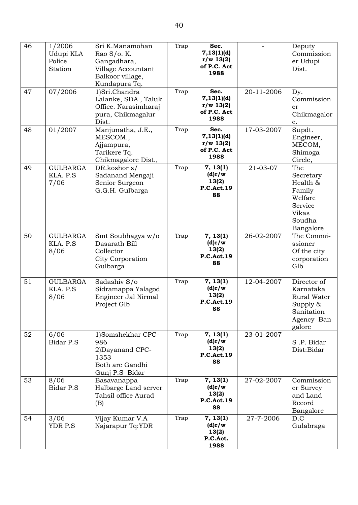| 46 | 1/2006<br>Udupi KLA<br>Police<br>Station | Sri K.Manamohan<br>Rao S/o. K.<br>Gangadhara,<br>Village Accountant<br>Balkoor village,<br>Kundapura Tq. | Trap | Sec.<br>7,13(1)(d)<br>r/w 13(2)<br>of P.C. Act<br>1988 |            | Deputy<br>Commission<br>er Udupi<br>Dist.                                                           |
|----|------------------------------------------|----------------------------------------------------------------------------------------------------------|------|--------------------------------------------------------|------------|-----------------------------------------------------------------------------------------------------|
| 47 | 07/2006                                  | 1)Sri.Chandra<br>Lalanke, SDA., Taluk<br>Office. Narasimharaj<br>pura, Chikmagalur<br>Dist.              | Trap | Sec.<br>7,13(1)(d)<br>r/w 13(2)<br>of P.C. Act<br>1988 | 20-11-2006 | Dy.<br>Commission<br>er<br>Chikmagalor<br>$\mathsf{e}.$                                             |
| 48 | 01/2007                                  | Manjunatha, J.E.,<br>MESCOM.,<br>Ajjampura,<br>Tarikere Tq.<br>Chikmagalore Dist.,                       | Trap | Sec.<br>7,13(1)(d)<br>r/w 13(2)<br>of P.C. Act<br>1988 | 17-03-2007 | Supdt.<br>Engineer,<br>MECOM,<br>Shimoga<br>Circle,                                                 |
| 49 | <b>GULBARGA</b><br>KLA. P.S<br>7/06      | DR.koshor s/<br>Sadanand Mengaji<br>Senior Surgeon<br>G.G.H. Gulbarga                                    | Trap | 7, 13(1)<br>(d)r/w<br>13(2)<br><b>P.C.Act.19</b><br>88 | 21-03-07   | The<br>Secretary<br>Health &<br>Family<br>Welfare<br>Service<br><b>Vikas</b><br>Soudha<br>Bangalore |
| 50 | <b>GULBARGA</b><br>KLA. P.S<br>8/06      | Smt Soubhagya w/o<br>Dasarath Bill<br>Collector<br>City Corporation<br>Gulbarga                          | Trap | 7, 13(1)<br>(d)r/w<br>13(2)<br><b>P.C.Act.19</b><br>88 | 26-02-2007 | The Commi-<br>ssioner<br>Of the city<br>corporation<br>Glb                                          |
| 51 | <b>GULBARGA</b><br>KLA. P.S<br>8/06      | Sadashiv S/o<br>Sidramappa Yalagod<br>Engineer Jal Nirmal<br>Project Glb                                 | Trap | 7, 13(1)<br>(d)r/w<br>13(2)<br><b>P.C.Act.19</b><br>88 | 12-04-2007 | Director of<br>Karnataka<br><b>Rural Water</b><br>Supply &<br>Sanitation<br>Agency Ban<br>galore    |
| 52 | 6/06<br>Bidar P.S                        | 1)Somshekhar CPC-<br>986<br>2) Dayanand CPC-<br>1353<br>Both are Gandhi<br>Gunj P.S Bidar                | Trap | 7, 13(1)<br>(d)r/w<br>13(2)<br><b>P.C.Act.19</b><br>88 | 23-01-2007 | S.P. Bidar<br>Dist:Bidar                                                                            |
| 53 | 8/06<br>Bidar P.S                        | Basavanappa<br>Halbarge Land server<br>Tahsil office Aurad<br>(B)                                        | Trap | 7, 13(1)<br>(d)r/w<br>13(2)<br><b>P.C.Act.19</b><br>88 | 27-02-2007 | Commission<br>er Survey<br>and Land<br>Record<br>Bangalore                                          |
| 54 | 3/06<br>YDR P.S                          | Vijay Kumar V.A<br>Najarapur Tq:YDR                                                                      | Trap | 7, 13(1)<br>(d)r/w<br>13(2)<br>P.C.Act.<br>1988        | 27-7-2006  | D.C<br>Gulabraga                                                                                    |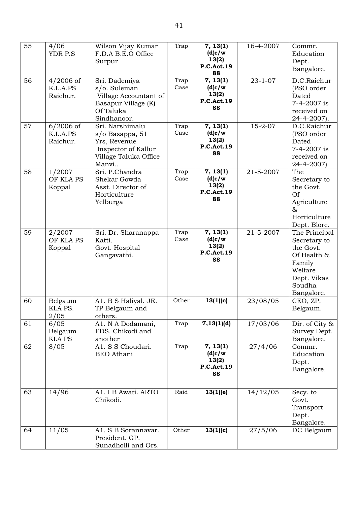| 55 | 4/06<br>YDR P.S                     | Wilson Vijay Kumar<br>F.D.A B.E.O Office<br>Surpur                                                          | Trap         | 7, 13(1)<br>(d)r/w<br>13(2)<br><b>P.C.Act.19</b><br>88               | 16-4-2007     | Commr.<br>Education<br>Dept.<br>Bangalore.                                                                            |
|----|-------------------------------------|-------------------------------------------------------------------------------------------------------------|--------------|----------------------------------------------------------------------|---------------|-----------------------------------------------------------------------------------------------------------------------|
| 56 | $4/2006$ of<br>K.L.A.PS<br>Raichur. | Sri. Dademiya<br>s/o. Suleman<br>Village Accountant of<br>Basapur Village (K)<br>Of Taluka<br>Sindhanoor.   | Trap<br>Case | 7, 13(1)<br>(d)r/w<br>13(2)<br><b>P.C.Act.19</b><br>88               | $23 - 1 - 07$ | D.C.Raichur<br>(PSO order<br>Dated<br>7-4-2007 is<br>received on<br>$24 - 4 - 2007$ .                                 |
| 57 | $6/2006$ of<br>K.L.A.PS<br>Raichur. | Sri. Narshimalu<br>s/o Basappa, 51<br>Yrs, Revenue<br>Inspector of Kallur<br>Village Taluka Office<br>Manvi | Trap<br>Case | $\overline{7}$ , 13(1)<br>(d)r/w<br>13(2)<br><b>P.C.Act.19</b><br>88 | $15 - 2 - 07$ | D.C.Raichur<br>(PSO order<br>Dated<br>7-4-2007 is<br>received on<br>24-4-2007)                                        |
| 58 | 1/2007<br>OF KLA PS<br>Koppal       | Sri. P.Chandra<br>Shekar Gowda<br>Asst. Director of<br>Horticulture<br>Yelburga                             | Trap<br>Case | 7, 13(1)<br>(d)r/w<br>13(2)<br><b>P.C.Act.19</b><br>88               | 21-5-2007     | The<br>Secretary to<br>the Govt.<br>Of<br>Agriculture<br>$\&$<br>Horticulture<br>Dept. Blore.                         |
| 59 | 2/2007<br>OF KLA PS<br>Koppal       | Sri. Dr. Sharanappa<br>Katti.<br>Govt. Hospital<br>Gangavathi.                                              | Trap<br>Case | 7, 13(1)<br>(d)r/w<br>13(2)<br><b>P.C.Act.19</b><br>88               | 21-5-2007     | The Principal<br>Secretary to<br>the Govt.<br>Of Health &<br>Family<br>Welfare<br>Dept. Vikas<br>Soudha<br>Bangalore. |
| 60 | Belgaum<br>KLA PS.<br>2/05          | A1. B S Haliyal. JE.<br>TP Belgaum and<br>others.                                                           | Other        | 13(1)(c)                                                             | 23/08/05      | CEO, ZP,<br>Belgaum.                                                                                                  |
| 61 | 6/05<br>Belgaum<br><b>KLA PS</b>    | A1. N A Dodamani,<br>FDS. Chikodi and<br>another                                                            | Trap         | 7,13(1)(d)                                                           | 17/03/06      | Dir. of City &<br>Survey Dept.<br>Bangalore.                                                                          |
| 62 | 8/05                                | A1. S S Choudari.<br><b>BEO</b> Athani                                                                      | Trap         | 7, 13(1)<br>(d)r/w<br>13(2)<br><b>P.C.Act.19</b><br>88               | 27/4/06       | Commr.<br>Education<br>Dept.<br>Bangalore.                                                                            |
| 63 | 14/96                               | A1. I B Awati. ARTO<br>Chikodi.                                                                             | Raid         | 13(1)(e)                                                             | 14/12/05      | Secy. to<br>Govt.<br>Transport<br>Dept.<br>Bangalore.                                                                 |
| 64 | 11/05                               | A1. S B Sorannavar.<br>President. GP.<br>Sunadholli and Ors.                                                | Other        | 13(1)(c)                                                             | 27/5/06       | DC Belgaum                                                                                                            |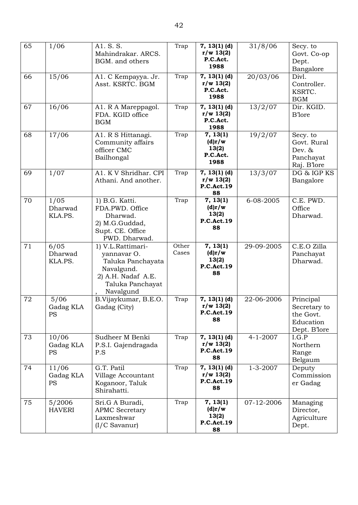| 65 | 1/06                            | A1. S. S.<br>Mahindrakar. ARCS.<br>BGM. and others                                                                         | Trap           | $7, 13(1)$ (d)<br>r/w 13(2)<br>P.C.Act.<br>1988        | 31/8/06        | Secy. to<br>Govt. Co-op<br>Dept.<br>Bangalore                       |
|----|---------------------------------|----------------------------------------------------------------------------------------------------------------------------|----------------|--------------------------------------------------------|----------------|---------------------------------------------------------------------|
| 66 | 15/06                           | A1. C Kempayya. Jr.<br>Asst. KSRTC. BGM                                                                                    | Trap           | $7, 13(1)$ (d)<br>r/w 13(2)<br>P.C.Act.<br>1988        | 20/03/06       | Divl.<br>Controller.<br>KSRTC.<br><b>BGM</b>                        |
| 67 | 16/06                           | A1. R A Mareppagol.<br>FDA. KGID office<br><b>BGM</b>                                                                      | Trap           | $7, 13(1)$ (d)<br>r/w 13(2)<br>P.C.Act.<br>1988        | 13/2/07        | Dir. KGID.<br><b>B</b> lore                                         |
| 68 | 17/06                           | A1. R S Hittanagi.<br>Community affairs<br>officer CMC<br>Bailhongal                                                       | Trap           | 7, 13(1)<br>(d)r/w<br>13(2)<br>P.C.Act.<br>1988        | 19/2/07        | Secy. to<br>Govt. Rural<br>Dev. &<br>Panchayat<br>Raj. B'lore       |
| 69 | 1/07                            | A1. K V Shridhar. CPI<br>Athani. And another.                                                                              | Trap           | $7, 13(1)$ (d)<br>r/w 13(2)<br><b>P.C.Act.19</b><br>88 | 13/3/07        | DG & IGP KS<br>Bangalore                                            |
| 70 | 1/05<br>Dharwad<br>KLA.PS.      | 1) B.G. Katti.<br>FDA.PWD. Office<br>Dharwad.<br>2) M.G.Guddad,<br>Supt. CE. Office<br>PWD. Dharwad.                       | Trap           | 7, 13(1)<br>(d)r/w<br>13(2)<br><b>P.C.Act.19</b><br>88 | 6-08-2005      | C.E. PWD.<br>Office<br>Dharwad.                                     |
| 71 | 6/05<br>Dharwad<br>KLA.PS.      | 1) V.L.Rattimari-<br>yannavar O.<br>Taluka Panchayata<br>Navalgund.<br>2) A.H. Nadaf A.E.<br>Taluka Panchayat<br>Navalgund | Other<br>Cases | 7, 13(1)<br>(d)r/w<br>13(2)<br><b>P.C.Act.19</b><br>88 | 29-09-2005     | C.E.O Zilla<br>Panchayat<br>Dharwad.                                |
| 72 | 5/06<br>Gadag KLA<br><b>PS</b>  | B.Vijaykumar, B.E.O.<br>Gadag (City)                                                                                       | Trap           | $7, 13(1)$ (d)<br>r/w 13(2)<br><b>P.C.Act.19</b><br>88 | 22-06-2006     | Principal<br>Secretary to<br>the Govt.<br>Education<br>Dept. B'lore |
| 73 | 10/06<br>Gadag KLA<br><b>PS</b> | Sudheer M Benki<br>P.S.I. Gajendragada<br>P.S                                                                              | Trap           | $7, 13(1)$ (d)<br>r/w 13(2)<br><b>P.C.Act.19</b><br>88 | $4 - 1 - 2007$ | I.G.P<br>Northern<br>Range<br>Belgaum                               |
| 74 | 11/06<br>Gadag KLA<br><b>PS</b> | G.T. Patil<br>Village Accountant<br>Koganoor, Taluk<br>Shirahatti.                                                         | Trap           | $7, 13(1)$ (d)<br>r/w 13(2)<br><b>P.C.Act.19</b><br>88 | $1 - 3 - 2007$ | Deputy<br>Commission<br>er Gadag                                    |
| 75 | 5/2006<br><b>HAVERI</b>         | Sri.G A Buradi,<br><b>APMC Secretary</b><br>Laxmeshwar<br>$(I/C$ Savanur)                                                  | Trap           | 7, 13(1)<br>(d)r/w<br>13(2)<br><b>P.C.Act.19</b><br>88 | 07-12-2006     | Managing<br>Director,<br>Agriculture<br>Dept.                       |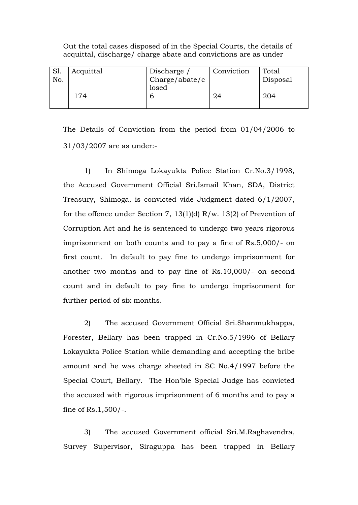| JI.<br>No. | Acquittal | Discharge<br>Charge/abate/c<br>losed | Conviction | Total<br>Disposal |
|------------|-----------|--------------------------------------|------------|-------------------|
|            | 74        |                                      |            | 204               |

Out the total cases disposed of in the Special Courts, the details of acquittal, discharge/ charge abate and convictions are as under

The Details of Conviction from the period from 01/04/2006 to 31/03/2007 are as under:-

1) In Shimoga Lokayukta Police Station Cr.No.3/1998, the Accused Government Official Sri.Ismail Khan, SDA, District Treasury, Shimoga, is convicted vide Judgment dated 6/1/2007, for the offence under Section 7, 13(1)(d) R/w. 13(2) of Prevention of Corruption Act and he is sentenced to undergo two years rigorous imprisonment on both counts and to pay a fine of Rs.5,000/- on first count. In default to pay fine to undergo imprisonment for another two months and to pay fine of Rs.10,000/- on second count and in default to pay fine to undergo imprisonment for further period of six months.

2) The accused Government Official Sri.Shanmukhappa, Forester, Bellary has been trapped in Cr.No.5/1996 of Bellary Lokayukta Police Station while demanding and accepting the bribe amount and he was charge sheeted in SC No.4/1997 before the Special Court, Bellary. The Hon'ble Special Judge has convicted the accused with rigorous imprisonment of 6 months and to pay a fine of Rs.1,500/-.

3) The accused Government official Sri.M.Raghavendra, Survey Supervisor, Siraguppa has been trapped in Bellary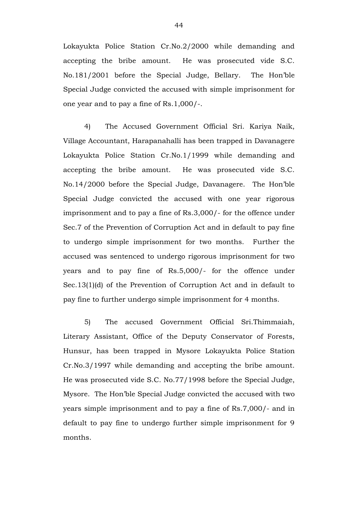Lokayukta Police Station Cr.No.2/2000 while demanding and accepting the bribe amount. He was prosecuted vide S.C. No.181/2001 before the Special Judge, Bellary. The Hon'ble Special Judge convicted the accused with simple imprisonment for one year and to pay a fine of Rs.1,000/-.

4) The Accused Government Official Sri. Kariya Naik, Village Accountant, Harapanahalli has been trapped in Davanagere Lokayukta Police Station Cr.No.1/1999 while demanding and accepting the bribe amount. He was prosecuted vide S.C. No.14/2000 before the Special Judge, Davanagere. The Hon'ble Special Judge convicted the accused with one year rigorous imprisonment and to pay a fine of Rs.3,000/- for the offence under Sec.7 of the Prevention of Corruption Act and in default to pay fine to undergo simple imprisonment for two months. Further the accused was sentenced to undergo rigorous imprisonment for two years and to pay fine of Rs.5,000/- for the offence under Sec.13(1)(d) of the Prevention of Corruption Act and in default to pay fine to further undergo simple imprisonment for 4 months.

5) The accused Government Official Sri.Thimmaiah, Literary Assistant, Office of the Deputy Conservator of Forests, Hunsur, has been trapped in Mysore Lokayukta Police Station Cr.No.3/1997 while demanding and accepting the bribe amount. He was prosecuted vide S.C. No.77/1998 before the Special Judge, Mysore. The Hon'ble Special Judge convicted the accused with two years simple imprisonment and to pay a fine of Rs.7,000/- and in default to pay fine to undergo further simple imprisonment for 9 months.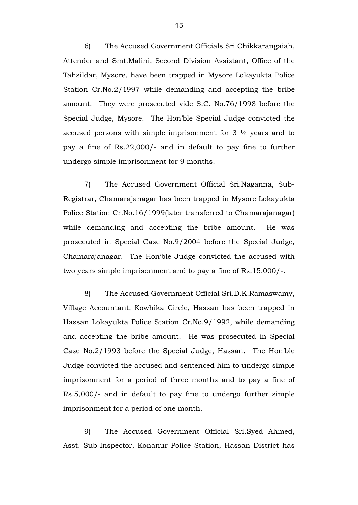6) The Accused Government Officials Sri.Chikkarangaiah, Attender and Smt.Malini, Second Division Assistant, Office of the Tahsildar, Mysore, have been trapped in Mysore Lokayukta Police Station Cr.No.2/1997 while demanding and accepting the bribe amount. They were prosecuted vide S.C. No.76/1998 before the Special Judge, Mysore. The Hon'ble Special Judge convicted the accused persons with simple imprisonment for  $3\frac{1}{2}$  years and to pay a fine of Rs.22,000/- and in default to pay fine to further undergo simple imprisonment for 9 months.

7) The Accused Government Official Sri.Naganna, Sub-Registrar, Chamarajanagar has been trapped in Mysore Lokayukta Police Station Cr.No.16/1999(later transferred to Chamarajanagar) while demanding and accepting the bribe amount. He was prosecuted in Special Case No.9/2004 before the Special Judge, Chamarajanagar. The Hon'ble Judge convicted the accused with two years simple imprisonment and to pay a fine of Rs.15,000/-.

8) The Accused Government Official Sri.D.K.Ramaswamy, Village Accountant, Kowhika Circle, Hassan has been trapped in Hassan Lokayukta Police Station Cr.No.9/1992, while demanding and accepting the bribe amount. He was prosecuted in Special Case No.2/1993 before the Special Judge, Hassan. The Hon'ble Judge convicted the accused and sentenced him to undergo simple imprisonment for a period of three months and to pay a fine of Rs.5,000/- and in default to pay fine to undergo further simple imprisonment for a period of one month.

9) The Accused Government Official Sri.Syed Ahmed, Asst. Sub-Inspector, Konanur Police Station, Hassan District has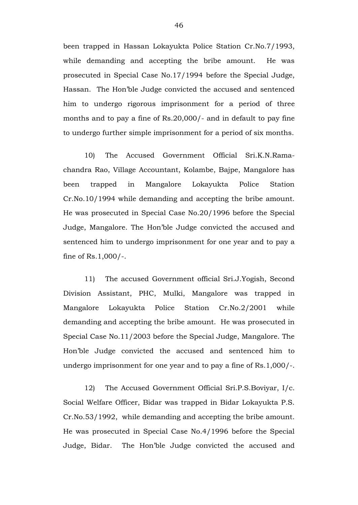been trapped in Hassan Lokayukta Police Station Cr.No.7/1993, while demanding and accepting the bribe amount. He was prosecuted in Special Case No.17/1994 before the Special Judge, Hassan. The Hon'ble Judge convicted the accused and sentenced him to undergo rigorous imprisonment for a period of three months and to pay a fine of Rs.20,000/- and in default to pay fine to undergo further simple imprisonment for a period of six months.

10) The Accused Government Official Sri.K.N.Ramachandra Rao, Village Accountant, Kolambe, Bajpe, Mangalore has been trapped in Mangalore Lokayukta Police Station Cr.No.10/1994 while demanding and accepting the bribe amount. He was prosecuted in Special Case No.20/1996 before the Special Judge, Mangalore. The Hon'ble Judge convicted the accused and sentenced him to undergo imprisonment for one year and to pay a fine of Rs.1,000/-.

11) The accused Government official Sri.J.Yogish, Second Division Assistant, PHC, Mulki, Mangalore was trapped in Mangalore Lokayukta Police Station Cr.No.2/2001 while demanding and accepting the bribe amount. He was prosecuted in Special Case No.11/2003 before the Special Judge, Mangalore. The Hon'ble Judge convicted the accused and sentenced him to undergo imprisonment for one year and to pay a fine of Rs.1,000/-.

12) The Accused Government Official Sri.P.S.Boviyar, I/c. Social Welfare Officer, Bidar was trapped in Bidar Lokayukta P.S. Cr.No.53/1992, while demanding and accepting the bribe amount. He was prosecuted in Special Case No.4/1996 before the Special Judge, Bidar. The Hon'ble Judge convicted the accused and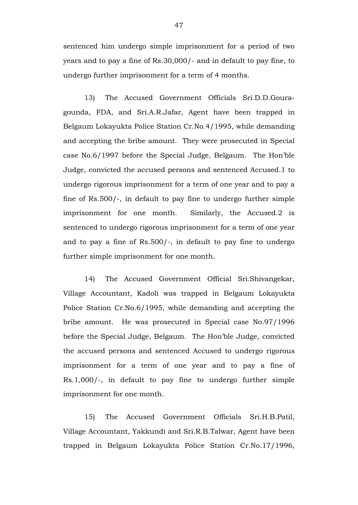sentenced him undergo simple imprisonment for a period of two years and to pay a fine of Rs.30,000/- and in default to pay fine, to undergo further imprisonment for a term of 4 months.

13) The Accused Government Officials Sri.D.D.Gouragounda, FDA, and Sri.A.R.Jafar, Agent have been trapped in Belgaum Lokayukta Police Station Cr.No.4/1995, while demanding and accepting the bribe amount. They were prosecuted in Special case No.6/1997 before the Special Judge, Belgaum. The Hon'ble Judge, convicted the accused persons and sentenced Accused.1 to undergo rigorous imprisonment for a term of one year and to pay a fine of Rs.500/-, in default to pay fine to undergo further simple imprisonment for one month. Similarly, the Accused.2 is sentenced to undergo rigorous imprisonment for a term of one year and to pay a fine of Rs.500/-, in default to pay fine to undergo further simple imprisonment for one month.

14) The Accused Government Official Sri.Shivangekar, Village Accountant, Kadoli was trapped in Belgaum Lokayukta Police Station Cr.No.6/1995, while demanding and accepting the bribe amount. He was prosecuted in Special case No.97/1996 before the Special Judge, Belgaum. The Hon'ble Judge, convicted the accused persons and sentenced Accused to undergo rigorous imprisonment for a term of one year and to pay a fine of Rs.1,000/-, in default to pay fine to undergo further simple imprisonment for one month.

15) The Accused Government Officials Sri.H.B.Patil, Village Accountant, Yakkundi and Sri.R.B.Talwar, Agent have been trapped in Belgaum Lokayukta Police Station Cr.No.17/1996,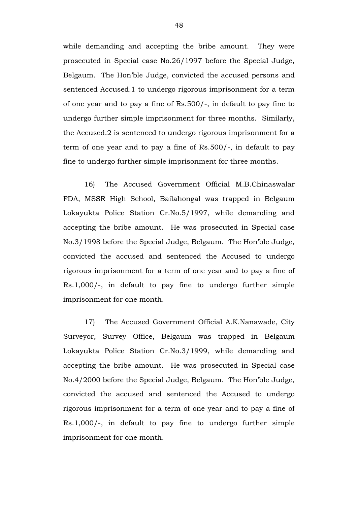while demanding and accepting the bribe amount. They were prosecuted in Special case No.26/1997 before the Special Judge, Belgaum. The Hon'ble Judge, convicted the accused persons and sentenced Accused.1 to undergo rigorous imprisonment for a term of one year and to pay a fine of Rs.500/-, in default to pay fine to undergo further simple imprisonment for three months. Similarly, the Accused.2 is sentenced to undergo rigorous imprisonment for a term of one year and to pay a fine of Rs.500/-, in default to pay fine to undergo further simple imprisonment for three months.

16) The Accused Government Official M.B.Chinaswalar FDA, MSSR High School, Bailahongal was trapped in Belgaum Lokayukta Police Station Cr.No.5/1997, while demanding and accepting the bribe amount. He was prosecuted in Special case No.3/1998 before the Special Judge, Belgaum. The Hon'ble Judge, convicted the accused and sentenced the Accused to undergo rigorous imprisonment for a term of one year and to pay a fine of Rs.1,000/-, in default to pay fine to undergo further simple imprisonment for one month.

17) The Accused Government Official A.K.Nanawade, City Surveyor, Survey Office, Belgaum was trapped in Belgaum Lokayukta Police Station Cr.No.3/1999, while demanding and accepting the bribe amount. He was prosecuted in Special case No.4/2000 before the Special Judge, Belgaum. The Hon'ble Judge, convicted the accused and sentenced the Accused to undergo rigorous imprisonment for a term of one year and to pay a fine of Rs.1,000/-, in default to pay fine to undergo further simple imprisonment for one month.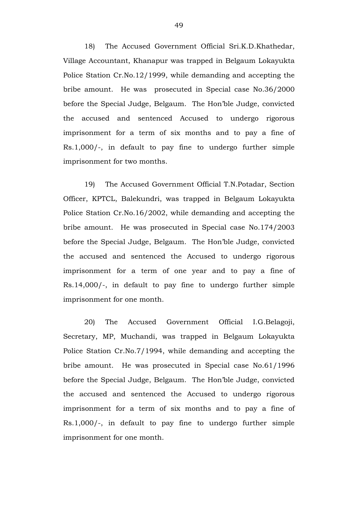18) The Accused Government Official Sri.K.D.Khathedar, Village Accountant, Khanapur was trapped in Belgaum Lokayukta Police Station Cr.No.12/1999, while demanding and accepting the bribe amount. He was prosecuted in Special case No.36/2000 before the Special Judge, Belgaum. The Hon'ble Judge, convicted the accused and sentenced Accused to undergo rigorous imprisonment for a term of six months and to pay a fine of Rs.1,000/-, in default to pay fine to undergo further simple imprisonment for two months.

19) The Accused Government Official T.N.Potadar, Section Officer, KPTCL, Balekundri, was trapped in Belgaum Lokayukta Police Station Cr.No.16/2002, while demanding and accepting the bribe amount. He was prosecuted in Special case No.174/2003 before the Special Judge, Belgaum. The Hon'ble Judge, convicted the accused and sentenced the Accused to undergo rigorous imprisonment for a term of one year and to pay a fine of Rs.14,000/-, in default to pay fine to undergo further simple imprisonment for one month.

20) The Accused Government Official I.G.Belagoji, Secretary, MP, Muchandi, was trapped in Belgaum Lokayukta Police Station Cr.No.7/1994, while demanding and accepting the bribe amount. He was prosecuted in Special case No.61/1996 before the Special Judge, Belgaum. The Hon'ble Judge, convicted the accused and sentenced the Accused to undergo rigorous imprisonment for a term of six months and to pay a fine of Rs.1,000/-, in default to pay fine to undergo further simple imprisonment for one month.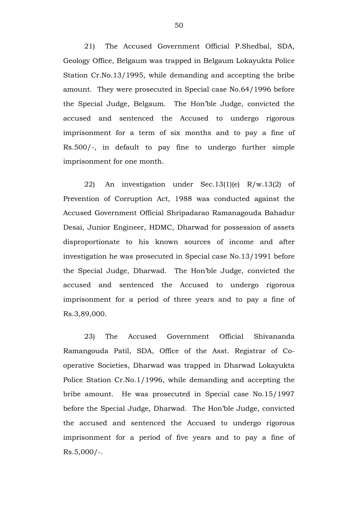21) The Accused Government Official P.Shedbal, SDA, Geology Office, Belgaum was trapped in Belgaum Lokayukta Police Station Cr.No.13/1995, while demanding and accepting the bribe amount. They were prosecuted in Special case No.64/1996 before the Special Judge, Belgaum. The Hon'ble Judge, convicted the accused and sentenced the Accused to undergo rigorous imprisonment for a term of six months and to pay a fine of Rs.500/-, in default to pay fine to undergo further simple imprisonment for one month.

22) An investigation under Sec.13(1)(e) R/w.13(2) of Prevention of Corruption Act, 1988 was conducted against the Accused Government Official Shripadarao Ramanagouda Bahadur Desai, Junior Engineer, HDMC, Dharwad for possession of assets disproportionate to his known sources of income and after investigation he was prosecuted in Special case No.13/1991 before the Special Judge, Dharwad. The Hon'ble Judge, convicted the accused and sentenced the Accused to undergo rigorous imprisonment for a period of three years and to pay a fine of Rs.3,89,000.

23) The Accused Government Official Shivananda Ramangouda Patil, SDA, Office of the Asst. Registrar of Cooperative Societies, Dharwad was trapped in Dharwad Lokayukta Police Station Cr.No.1/1996, while demanding and accepting the bribe amount. He was prosecuted in Special case No.15/1997 before the Special Judge, Dharwad. The Hon'ble Judge, convicted the accused and sentenced the Accused to undergo rigorous imprisonment for a period of five years and to pay a fine of  $Rs.5,000/-.$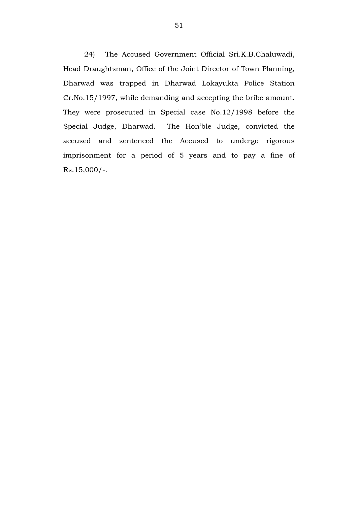24) The Accused Government Official Sri.K.B.Chaluwadi, Head Draughtsman, Office of the Joint Director of Town Planning, Dharwad was trapped in Dharwad Lokayukta Police Station Cr.No.15/1997, while demanding and accepting the bribe amount. They were prosecuted in Special case No.12/1998 before the Special Judge, Dharwad. The Hon'ble Judge, convicted the accused and sentenced the Accused to undergo rigorous imprisonment for a period of 5 years and to pay a fine of Rs.15,000/-.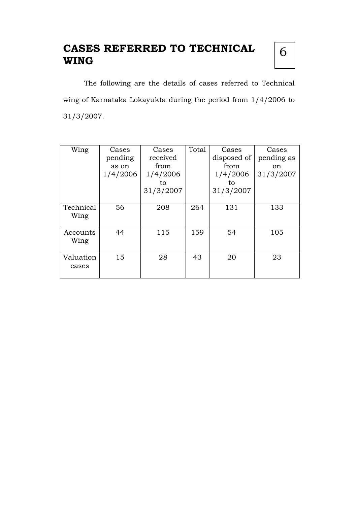# **CASES REFERRED TO TECHNICAL WING**

6

The following are the details of cases referred to Technical wing of Karnataka Lokayukta during the period from 1/4/2006 to 31/3/2007.

| Wing      | Cases    | Cases     | Total | Cases       | Cases      |
|-----------|----------|-----------|-------|-------------|------------|
|           | pending  | received  |       | disposed of | pending as |
|           | as on    | from      |       | from        | on         |
|           | 1/4/2006 | 1/4/2006  |       | 1/4/2006    | 31/3/2007  |
|           |          | to        |       | to          |            |
|           |          | 31/3/2007 |       | 31/3/2007   |            |
|           |          |           |       |             |            |
| Technical | 56       | 208       | 264   | 131         | 133        |
| Wing      |          |           |       |             |            |
|           |          |           |       |             |            |
| Accounts  | 44       | 115       | 159   | 54          | 105        |
| Wing      |          |           |       |             |            |
|           |          |           |       |             |            |
| Valuation | 15       | 28        | 43    | 20          | 23         |
| cases     |          |           |       |             |            |
|           |          |           |       |             |            |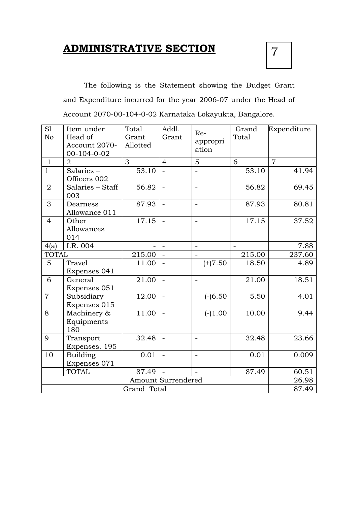## **ADMINISTRATIVE SECTION**



The following is the Statement showing the Budget Grant and Expenditure incurred for the year 2006-07 under the Head of Account 2070-00-104-0-02 Karnataka Lokayukta, Bangalore.

| S1<br>No       | Item under<br>Head of<br>Account 2070-<br>$00-104-0-02$ | Total<br>Grant<br>Allotted | Addl.<br>Grant           | Re-<br>appropri<br>ation | Grand<br>Total | Expenditure    |
|----------------|---------------------------------------------------------|----------------------------|--------------------------|--------------------------|----------------|----------------|
| $\mathbf{1}$   | $\overline{2}$                                          | 3                          | $\overline{4}$           | 5                        | 6              | $\overline{7}$ |
| $\mathbf{1}$   | Salaries-<br>Officers 002                               | 53.10                      |                          |                          | 53.10          | 41.94          |
| $\overline{2}$ | Salaries - Staff<br>003                                 | 56.82                      | $\overline{\phantom{0}}$ | $\bar{\phantom{a}}$      | 56.82          | 69.45          |
| 3              | Dearness<br>Allowance 011                               | 87.93                      | $\overline{a}$           | $\overline{\phantom{0}}$ | 87.93          | 80.81          |
| $\overline{4}$ | Other<br>Allowances<br>014                              | 17.15                      | $\sim$                   | $\overline{a}$           | 17.15          | 37.52          |
| 4(a)           | I.R. 004                                                |                            |                          |                          |                | 7.88           |
| <b>TOTAL</b>   |                                                         | 215.00                     |                          |                          | 215.00         | 237.60         |
| 5              | <b>Travel</b><br>Expenses 041                           | 11.00                      | $\equiv$                 | $(+)7.50$                | 18.50          | 4.89           |
| 6              | General<br>Expenses 051                                 | 21.00                      | $\overline{\phantom{0}}$ | $\blacksquare$           | 21.00          | 18.51          |
| $\overline{7}$ | Subsidiary<br>Expenses 015                              | 12.00                      | $\ddot{\phantom{1}}$     | $(-)6.50$                | 5.50           | 4.01           |
| 8              | Machinery &<br>Equipments<br>180                        | 11.00                      | $\overline{a}$           | $(-)1.00$                | 10.00          | 9.44           |
| 9              | Transport<br>Expenses. 195                              | 32.48                      |                          | $\frac{1}{2}$            | 32.48          | 23.66          |
| 10             | <b>Building</b><br>Expenses 071                         | 0.01                       |                          | $\frac{1}{2}$            | 0.01           | 0.009          |
|                | <b>TOTAL</b>                                            | 87.49                      |                          |                          | 87.49          | 60.51          |
|                | Amount Surrendered                                      |                            |                          |                          |                | 26.98          |
|                |                                                         | Grand Total                |                          |                          |                | 87.49          |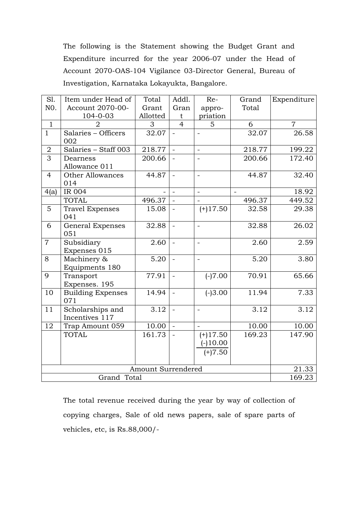The following is the Statement showing the Budget Grant and Expenditure incurred for the year 2006-07 under the Head of Account 2070-OAS-104 Vigilance 03-Director General, Bureau of Investigation, Karnataka Lokayukta, Bangalore.

| Sl.            | Item under Head of                 | Total    | Addl.                    | Re-                                   | Grand    | Expenditure    |
|----------------|------------------------------------|----------|--------------------------|---------------------------------------|----------|----------------|
| NO.            | Account 2070-00-                   | Grant    | Gran                     | appro-                                | Total    |                |
|                | 104-0-03                           | Allotted | t                        | priation                              |          |                |
| $\mathbf{1}$   | $\overline{2}$                     | 3        | $\overline{4}$           | 5                                     | 6        | $\overline{7}$ |
| $\mathbf{1}$   | Salaries - Officers<br>002         | 32.07    | $\equiv$                 |                                       | 32.07    | 26.58          |
| $\overline{2}$ | Salaries - Staff 003               | 218.77   | $\omega$                 | $\overline{\phantom{a}}$              | 218.77   | 199.22         |
| $\overline{3}$ | Dearness<br>Allowance 011          | 200.66   | $\mathbf{r}$             | $\overline{\phantom{a}}$              | 200.66   | 172.40         |
| $\overline{4}$ | <b>Other Allowances</b><br>014     | 44.87    | $\overline{\phantom{a}}$ |                                       | 44.87    | 32.40          |
| 4(a)           | IR 004                             |          | $\equiv$                 | $\overline{\phantom{a}}$              | $\equiv$ | 18.92          |
|                | <b>TOTAL</b>                       | 496.37   | $\sim$                   |                                       | 496.37   | 449.52         |
| 5              | <b>Travel Expenses</b><br>041      | 15.08    |                          | $(+)17.50$                            | 32.58    | 29.38          |
| 6              | <b>General Expenses</b><br>051     | 32.88    | $\equiv$                 | $\overline{\phantom{a}}$              | 32.88    | 26.02          |
| $\overline{7}$ | Subsidiary<br>Expenses 015         | 2.60     | $\omega$                 | $\overline{a}$                        | 2.60     | 2.59           |
| 8              | Machinery &<br>Equipments 180      | 5.20     | $\sim$                   |                                       | 5.20     | 3.80           |
| 9              | Transport<br>Expenses. 195         | 77.91    | $\mathbb{L}$             | $(-)7.00$                             | 70.91    | 65.66          |
| 10             | <b>Building Expenses</b><br>071    | 14.94    | $\mathcal{L}$            | $(-)3.00$                             | 11.94    | 7.33           |
| 11             | Scholarships and<br>Incentives 117 | 3.12     | $\sim$                   | $\sim$                                | 3.12     | 3.12           |
| 12             | Trap Amount 059                    | 10.00    | $\mathbb{Z}^2$           | $\blacksquare$                        | 10.00    | 10.00          |
|                | <b>TOTAL</b>                       | 161.73   | $\overline{a}$           | $(+)17.50$<br>$(-10.00)$<br>$(+)7.50$ | 169.23   | 147.90         |
|                | 21.33                              |          |                          |                                       |          |                |
|                | Grand Total                        |          |                          |                                       |          | 169.23         |

The total revenue received during the year by way of collection of copying charges, Sale of old news papers, sale of spare parts of vehicles, etc, is Rs.88,000/-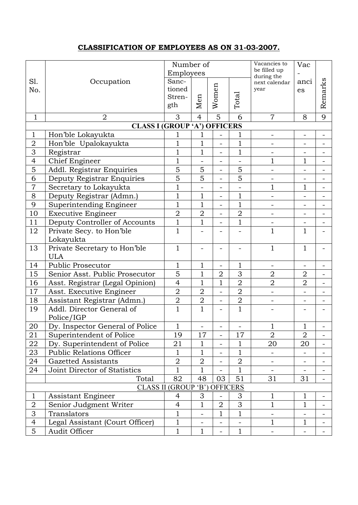### **CLASSIFICATION OF EMPLOYEES AS ON 31-03-2007.**

|                                            |                                            | Number of<br>Employees           |                                                      |                          |                | Vacancies to<br>be filled up<br>during the | Vac                          |                          |
|--------------------------------------------|--------------------------------------------|----------------------------------|------------------------------------------------------|--------------------------|----------------|--------------------------------------------|------------------------------|--------------------------|
| Sl.<br>No.                                 | Occupation                                 | Sanc-<br>tioned<br>Stren-<br>gth | Men                                                  | Women                    | Total          | next calendar<br>year                      | anci<br>es                   | Remarks                  |
| $\mathbf{1}$                               | $\overline{2}$                             | 3                                | $\overline{4}$                                       | $\overline{5}$           | 6              | $\overline{7}$                             | 8                            | 9                        |
|                                            | <b>CLASS I (GROUP 'A') OFFICERS</b>        |                                  |                                                      |                          |                |                                            |                              |                          |
| 1                                          | Hon'ble Lokayukta                          |                                  | 1                                                    |                          |                | ÷                                          | $\blacksquare$               | $\blacksquare$           |
| $\overline{2}$                             | Hon'ble Upalokayukta                       | $\overline{1}$                   | $\overline{1}$                                       | ÷,                       | $\mathbf{1}$   |                                            |                              |                          |
| 3                                          | Registrar                                  | $\mathbf{1}$                     | $\mathbf 1$                                          | ÷,                       | $\mathbf{1}$   | ÷                                          | $\frac{1}{2}$                | -                        |
| $\overline{4}$                             | <b>Chief Engineer</b>                      |                                  | $\mathbf{1}$<br>$\overline{\phantom{0}}$             |                          |                | 1                                          | $\mathbf{1}$                 |                          |
| $\overline{5}$                             | Addl. Registrar Enquiries                  |                                  | $\overline{5}$<br>5<br>5<br>$\overline{\phantom{0}}$ |                          |                |                                            |                              | -                        |
| 6                                          | Deputy Registrar Enquiries                 | $\overline{5}$                   | 5                                                    | $\overline{\phantom{0}}$ | 5              |                                            | $\qquad \qquad \blacksquare$ |                          |
| $\overline{7}$                             | Secretary to Lokayukta                     |                                  | $\mathbf{1}$<br>÷<br>÷.                              |                          |                | $\mathbf 1$                                | $\mathbf{1}$                 | $\overline{\phantom{0}}$ |
| 8                                          | Deputy Registrar (Admn.)                   | $\mathbf{1}$                     | 1                                                    | ÷,                       | $\mathbf 1$    | $\overline{\phantom{0}}$                   | $\overline{\phantom{a}}$     | -                        |
| 9                                          | Superintending Engineer                    | $\overline{1}$                   | $\overline{1}$                                       | $\overline{a}$           | $\overline{1}$ | $\overline{\phantom{0}}$                   | $\overline{a}$               |                          |
| 10                                         | <b>Executive Engineer</b>                  | $\overline{2}$                   | $\overline{2}$                                       | ÷                        | $\overline{2}$ | -                                          | $\blacksquare$               | -                        |
| 11                                         | Deputy Controller of Accounts              | $\overline{1}$                   | $\overline{1}$                                       | $\overline{a}$           | $\overline{1}$ |                                            | $\overline{\phantom{0}}$     | $\qquad \qquad -$        |
| 12                                         | Private Secy. to Hon'ble                   | $\mathbf{1}$                     |                                                      |                          |                | $\mathbf 1$                                | $\mathbf{1}$                 |                          |
|                                            | Lokayukta                                  |                                  |                                                      |                          |                |                                            |                              |                          |
| 13                                         | Private Secretary to Hon'ble<br><b>ULA</b> | $\mathbf{1}$                     |                                                      |                          |                | $\mathbf 1$                                | $\mathbf{1}$                 |                          |
| 14                                         | Public Prosecutor                          | $\mathbf{1}$                     | $\mathbf{1}$                                         | $\overline{a}$           | 1              |                                            | ÷.                           |                          |
| 15                                         | Senior Asst. Public Prosecutor             | $\overline{5}$                   | $\mathbf{1}$                                         | $\overline{2}$           | 3              | $\overline{2}$                             | $\overline{2}$               | -                        |
| 16                                         | Asst. Registrar (Legal Opinion)            | $\overline{4}$                   | $\overline{1}$                                       | $\overline{1}$           | $\overline{2}$ | $\overline{2}$                             | $\overline{2}$               | $\qquad \qquad -$        |
| 17                                         | Asst. Executive Engineer                   | $\overline{2}$                   | $\overline{2}$                                       | L,                       | $\overline{2}$ | L,                                         | L.                           |                          |
| 18                                         | Assistant Registrar (Admn.)                | $\overline{2}$                   | $\overline{2}$                                       | ÷,                       | $\overline{2}$ | $\blacksquare$                             | $\frac{1}{2}$                | $\overline{\phantom{0}}$ |
| 19                                         | Addl. Director General of<br>Police/IGP    | $\mathbf{1}$                     | $\mathbf{1}$                                         |                          | $\overline{1}$ |                                            |                              |                          |
| 20                                         | Dy. Inspector General of Police            | $\mathbf{1}$                     |                                                      |                          |                | $\mathbf{1}$                               | $\mathbf{1}$                 |                          |
| 21                                         | Superintendent of Police                   | 19                               | 17                                                   |                          | 17             | $\overline{2}$                             | $\overline{2}$               |                          |
| 22                                         | Dy. Superintendent of Police               | 21                               | 1                                                    |                          | 1              | 20                                         | 20                           | $\blacksquare$           |
| 23                                         | <b>Public Relations Officer</b>            | $\mathbf{1}$                     | 1                                                    |                          | 1              |                                            |                              |                          |
| 24                                         | Gazetted Assistants                        | $\overline{2}$                   | $\overline{2}$                                       |                          | $\overline{2}$ |                                            |                              | -                        |
| 24                                         | Joint Director of Statistics               | $\mathbf{1}$                     | 1                                                    |                          | $\mathbf 1$    |                                            |                              |                          |
|                                            | Total                                      |                                  | 48                                                   | 03                       | 51             | 31                                         | 31                           | -                        |
| 82<br><b>CLASS II (GROUP 'B') OFFICERS</b> |                                            |                                  |                                                      |                          |                |                                            |                              |                          |
| $\mathbf{1}$                               | Assistant Engineer                         | 4                                | 3                                                    |                          | 3              | 1                                          | 1                            |                          |
| $\overline{2}$                             | Senior Judgment Writer                     | $\overline{4}$                   | $\mathbf 1$                                          | $\overline{2}$           | 3              | 1                                          | $\mathbf{1}$                 | Ξ.                       |
| 3                                          | Translators                                | $\mathbf{1}$                     |                                                      | $\mathbf{1}$             | $\mathbf{1}$   |                                            |                              |                          |
| $\overline{4}$                             | Legal Assistant (Court Officer)            | $\mathbf{1}$                     | $\qquad \qquad \blacksquare$                         |                          |                | $\mathbf 1$                                | $\mathbf{1}$                 | Ξ.                       |
| 5                                          | Audit Officer                              | $\mathbf{1}$                     | $\mathbf{1}$                                         |                          | $\mathbf{1}$   |                                            | $\blacksquare$               |                          |